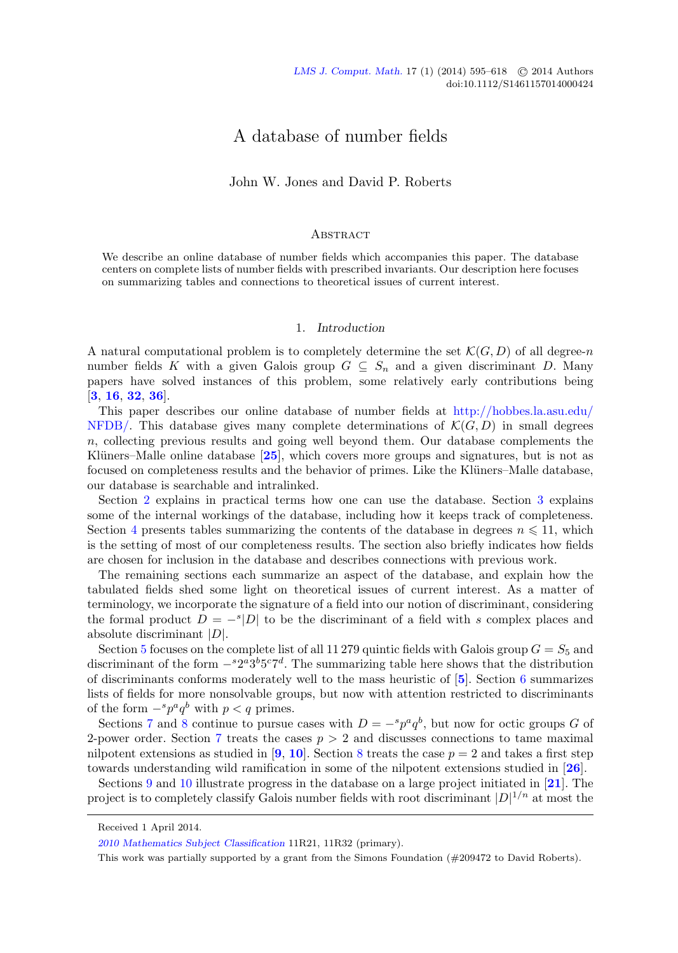# A database of number fields

### John W. Jones and David P. Roberts

### **ABSTRACT**

We describe an online database of number fields which accompanies this paper. The database centers on complete lists of number fields with prescribed invariants. Our description here focuses on summarizing tables and connections to theoretical issues of current interest.

#### 1. Introduction

A natural computational problem is to completely determine the set  $\mathcal{K}(G, D)$  of all degree-n number fields K with a given Galois group  $G \subseteq S_n$  and a given discriminant D. Many papers have solved instances of this problem, some relatively early contributions being [[3](#page-22-0), [16](#page-22-1), [32](#page-23-0), [36](#page-23-1)].

This paper describes our online database of number fields at [http://hobbes.la.asu.edu/](http://hobbes.la.asu.edu/NFDB/) [NFDB/.](http://hobbes.la.asu.edu/NFDB/) This database gives many complete determinations of  $\mathcal{K}(G, D)$  in small degrees n, collecting previous results and going well beyond them. Our database complements the Klüners–Malle online database  $[25]$  $[25]$  $[25]$ , which covers more groups and signatures, but is not as focused on completeness results and the behavior of primes. Like the Klüners–Malle database, our database is searchable and intralinked.

Section [2](#page-1-0) explains in practical terms how one can use the database. Section [3](#page-2-0) explains some of the internal workings of the database, including how it keeps track of completeness. Section [4](#page-4-0) presents tables summarizing the contents of the database in degrees  $n \leq 11$ , which is the setting of most of our completeness results. The section also briefly indicates how fields are chosen for inclusion in the database and describes connections with previous work.

The remaining sections each summarize an aspect of the database, and explain how the tabulated fields shed some light on theoretical issues of current interest. As a matter of terminology, we incorporate the signature of a field into our notion of discriminant, considering the formal product  $D = -<sup>s</sup> |D|$  to be the discriminant of a field with s complex places and absolute discriminant |D|.

Section [5](#page-10-0) focuses on the complete list of all 11 279 quintic fields with Galois group  $G = S_5$  and discriminant of the form  $-{}^{s}2^{a}3^{b}5^{c}7^{d}$ . The summarizing table here shows that the distribution of discriminants conforms moderately well to the mass heuristic of [[5](#page-22-3)]. Section [6](#page-11-0) summarizes lists of fields for more nonsolvable groups, but now with attention restricted to discriminants of the form  $-\frac{s}{p}a q^b$  with  $p < q$  primes.

Sections [7](#page-13-0) and [8](#page-15-0) continue to pursue cases with  $D = -\frac{s p^a q^b}{\rho}$ , but now for octic groups G of 2-power order. Section [7](#page-13-0) treats the cases  $p > 2$  and discusses connections to tame maximal nilpotent extensions as studied in [[9](#page-22-4), [10](#page-22-5)]. Section [8](#page-15-0) treats the case  $p = 2$  and takes a first step towards understanding wild ramification in some of the nilpotent extensions studied in [[26](#page-22-6)].

Sections [9](#page-17-0) and [10](#page-19-0) illustrate progress in the database on a large project initiated in [[21](#page-22-7)]. The project is to completely classify Galois number fields with root discriminant  $|D|^{1/n}$  at most the

Received 1 April 2014.

<sup>2010</sup> Mathematics Subject Classification 11R21, 11R32 (primary).

This work was partially supported by a grant from the Simons Foundation (#209472 to David Roberts).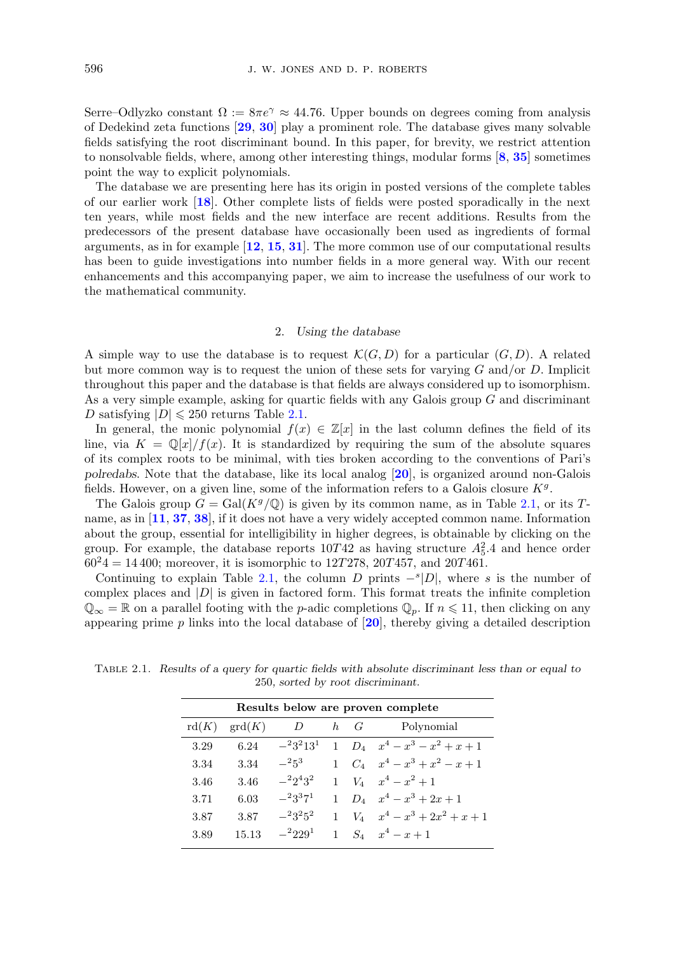Serre–Odlyzko constant  $\Omega := 8\pi e^{\gamma} \approx 44.76$ . Upper bounds on degrees coming from analysis of Dedekind zeta functions [[29](#page-22-8), [30](#page-23-2)] play a prominent role. The database gives many solvable fields satisfying the root discriminant bound. In this paper, for brevity, we restrict attention to nonsolvable fields, where, among other interesting things, modular forms [[8](#page-22-9), [35](#page-23-3)] sometimes point the way to explicit polynomials.

The database we are presenting here has its origin in posted versions of the complete tables of our earlier work [[18](#page-22-10)]. Other complete lists of fields were posted sporadically in the next ten years, while most fields and the new interface are recent additions. Results from the predecessors of the present database have occasionally been used as ingredients of formal arguments, as in for example [[12](#page-22-11), [15](#page-22-12), [31](#page-23-4)]. The more common use of our computational results has been to guide investigations into number fields in a more general way. With our recent enhancements and this accompanying paper, we aim to increase the usefulness of our work to the mathematical community.

#### 2. Using the database

<span id="page-1-0"></span>A simple way to use the database is to request  $\mathcal{K}(G, D)$  for a particular  $(G, D)$ . A related but more common way is to request the union of these sets for varying  $G$  and/or  $D$ . Implicit throughout this paper and the database is that fields are always considered up to isomorphism. As a very simple example, asking for quartic fields with any Galois group G and discriminant D satisfying  $|D| \le 250$  returns Table [2.1.](#page-1-1)

In general, the monic polynomial  $f(x) \in \mathbb{Z}[x]$  in the last column defines the field of its line, via  $K = \mathbb{Q}[x]/f(x)$ . It is standardized by requiring the sum of the absolute squares of its complex roots to be minimal, with ties broken according to the conventions of Pari's polredabs. Note that the database, like its local analog  $[20]$  $[20]$  $[20]$ , is organized around non-Galois fields. However, on a given line, some of the information refers to a Galois closure  $K<sup>g</sup>$ .

The Galois group  $G = \text{Gal}(K^g/\mathbb{Q})$  is given by its common name, as in Table [2.1,](#page-1-1) or its Tname, as in [[11](#page-22-14), [37](#page-23-5), [38](#page-23-6)], if it does not have a very widely accepted common name. Information about the group, essential for intelligibility in higher degrees, is obtainable by clicking on the group. For example, the database reports  $10T42$  as having structure  $A_5^2.4$  and hence order  $60^{2}4 = 14400$ ; moreover, it is isomorphic to 12T278, 20T457, and 20T461.

Continuing to explain Table [2.1,](#page-1-1) the column D prints  $-$ <sup>s</sup>|D|, where s is the number of complex places and  $|D|$  is given in factored form. This format treats the infinite completion  $\mathbb{Q}_{\infty} = \mathbb{R}$  on a parallel footing with the *p*-adic completions  $\mathbb{Q}_p$ . If  $n \leq 11$ , then clicking on any appearing prime  $p$  links into the local database of  $[20]$  $[20]$  $[20]$ , thereby giving a detailed description

<span id="page-1-1"></span>

| Results below are proven complete |                         |                      |  |       |                                    |  |  |  |  |  |  |  |  |
|-----------------------------------|-------------------------|----------------------|--|-------|------------------------------------|--|--|--|--|--|--|--|--|
| rd(K)                             | $\operatorname{grd}(K)$ | D                    |  | $h$ G | Polynomial                         |  |  |  |  |  |  |  |  |
| 3.29                              | 6.24                    | $-23^213^1$          |  |       | 1 $D_4$ $x^4 - x^3 - x^2 + x + 1$  |  |  |  |  |  |  |  |  |
| 3.34                              | 3.34                    | $-{}^{2}5^{3}$       |  |       | 1 $C_4$ $x^4 - x^3 + x^2 - x + 1$  |  |  |  |  |  |  |  |  |
| 3.46                              | 3.46                    | $-22^{4}3^{2}$       |  |       | 1 $V_4$ $x^4 - x^2 + 1$            |  |  |  |  |  |  |  |  |
| 3.71                              | 6.03                    | $-2337$              |  |       | 1 $D_4$ $x^4 - x^3 + 2x + 1$       |  |  |  |  |  |  |  |  |
| 3.87                              | 3.87                    | $-23^{2}5^{2}$       |  |       | 1 $V_4$ $x^4 - x^3 + 2x^2 + x + 1$ |  |  |  |  |  |  |  |  |
| 3.89                              | 15.13                   | $-2229$ <sup>1</sup> |  |       | 1 $S_4$ $x^4 - x + 1$              |  |  |  |  |  |  |  |  |
|                                   |                         |                      |  |       |                                    |  |  |  |  |  |  |  |  |

Table 2.1. Results of a query for quartic fields with absolute discriminant less than or equal to 250, sorted by root discriminant.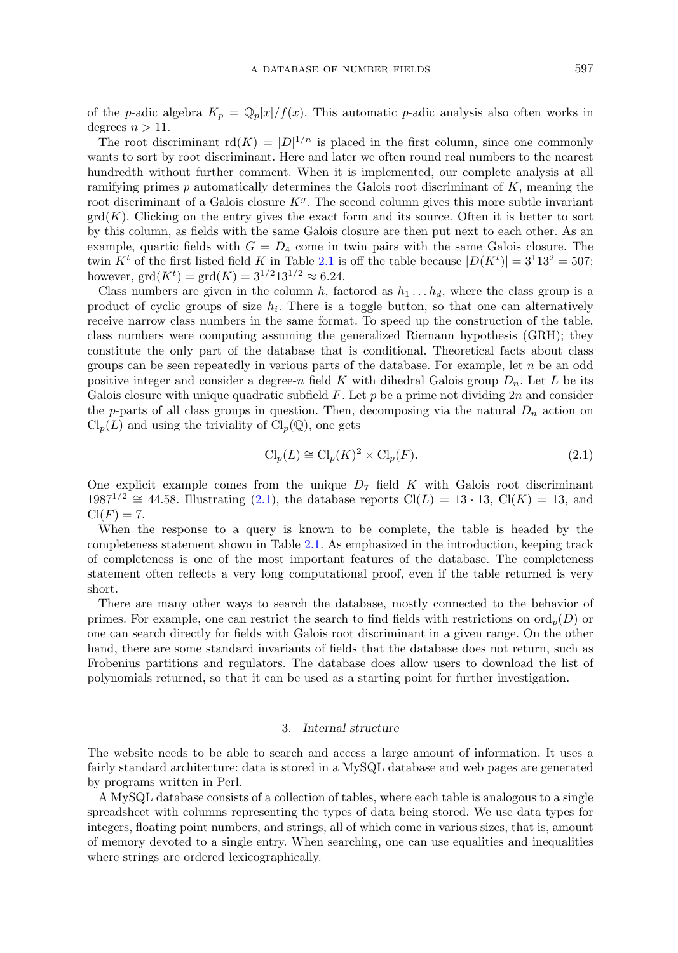of the p-adic algebra  $K_p = \mathbb{Q}_p[x]/f(x)$ . This automatic p-adic analysis also often works in degrees  $n > 11$ .

The root discriminant  $\text{rd}(K) = |D|^{1/n}$  is placed in the first column, since one commonly wants to sort by root discriminant. Here and later we often round real numbers to the nearest hundredth without further comment. When it is implemented, our complete analysis at all ramifying primes  $p$  automatically determines the Galois root discriminant of  $K$ , meaning the root discriminant of a Galois closure  $K<sup>g</sup>$ . The second column gives this more subtle invariant  $\mathrm{grd}(K)$ . Clicking on the entry gives the exact form and its source. Often it is better to sort by this column, as fields with the same Galois closure are then put next to each other. As an example, quartic fields with  $G = D_4$  come in twin pairs with the same Galois closure. The twin  $K^t$  of the first listed field K in Table [2.1](#page-1-1) is off the table because  $|D(K^t)| = 3^1 13^2 = 507$ ; however,  $\text{grd}(K^t) = \text{grd}(K) = 3^{1/2} 13^{1/2} \approx 6.24.$ 

Class numbers are given in the column h, factored as  $h_1 \ldots h_d$ , where the class group is a product of cyclic groups of size  $h_i$ . There is a toggle button, so that one can alternatively receive narrow class numbers in the same format. To speed up the construction of the table, class numbers were computing assuming the generalized Riemann hypothesis (GRH); they constitute the only part of the database that is conditional. Theoretical facts about class groups can be seen repeatedly in various parts of the database. For example, let  $n$  be an odd positive integer and consider a degree-n field K with dihedral Galois group  $D_n$ . Let L be its Galois closure with unique quadratic subfield  $F$ . Let  $p$  be a prime not dividing  $2n$  and consider the p-parts of all class groups in question. Then, decomposing via the natural  $D_n$  action on  $\text{Cl}_p(L)$  and using the triviality of  $\text{Cl}_p(\mathbb{Q})$ , one gets

<span id="page-2-1"></span>
$$
\operatorname{Cl}_p(L) \cong \operatorname{Cl}_p(K)^2 \times \operatorname{Cl}_p(F). \tag{2.1}
$$

One explicit example comes from the unique  $D_7$  field K with Galois root discriminant  $1987^{1/2} \approx 44.58$ . Illustrating  $(2.1)$ , the database reports Cl(L) = 13 · 13, Cl(K) = 13, and  $Cl(F) = 7.$ 

When the response to a query is known to be complete, the table is headed by the completeness statement shown in Table [2.1.](#page-1-1) As emphasized in the introduction, keeping track of completeness is one of the most important features of the database. The completeness statement often reflects a very long computational proof, even if the table returned is very short.

There are many other ways to search the database, mostly connected to the behavior of primes. For example, one can restrict the search to find fields with restrictions on  $\text{ord}_n(D)$  or one can search directly for fields with Galois root discriminant in a given range. On the other hand, there are some standard invariants of fields that the database does not return, such as Frobenius partitions and regulators. The database does allow users to download the list of polynomials returned, so that it can be used as a starting point for further investigation.

#### 3. Internal structure

<span id="page-2-0"></span>The website needs to be able to search and access a large amount of information. It uses a fairly standard architecture: data is stored in a MySQL database and web pages are generated by programs written in Perl.

A MySQL database consists of a collection of tables, where each table is analogous to a single spreadsheet with columns representing the types of data being stored. We use data types for integers, floating point numbers, and strings, all of which come in various sizes, that is, amount of memory devoted to a single entry. When searching, one can use equalities and inequalities where strings are ordered lexicographically.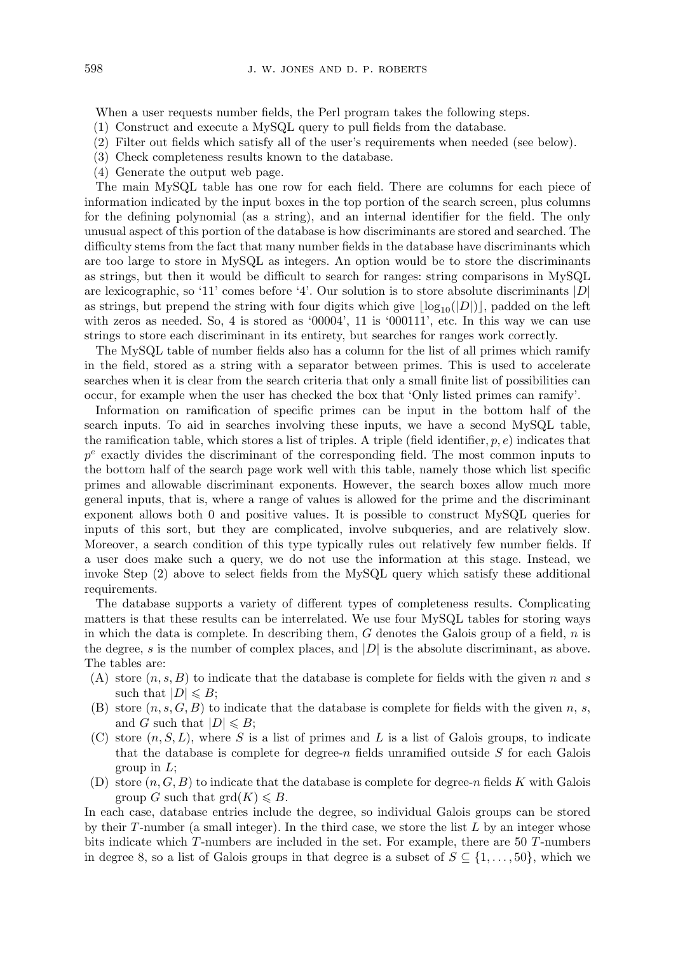When a user requests number fields, the Perl program takes the following steps.

- (1) Construct and execute a MySQL query to pull fields from the database.
- (2) Filter out fields which satisfy all of the user's requirements when needed (see below).
- (3) Check completeness results known to the database.
- (4) Generate the output web page.

The main MySQL table has one row for each field. There are columns for each piece of information indicated by the input boxes in the top portion of the search screen, plus columns for the defining polynomial (as a string), and an internal identifier for the field. The only unusual aspect of this portion of the database is how discriminants are stored and searched. The difficulty stems from the fact that many number fields in the database have discriminants which are too large to store in MySQL as integers. An option would be to store the discriminants as strings, but then it would be difficult to search for ranges: string comparisons in MySQL are lexicographic, so '11' comes before '4'. Our solution is to store absolute discriminants  $|D|$ as strings, but prepend the string with four digits which give  $\lfloor \log_{10}(|D|) \rfloor$ , padded on the left with zeros as needed. So, 4 is stored as '00004', 11 is '000111', etc. In this way we can use strings to store each discriminant in its entirety, but searches for ranges work correctly.

The MySQL table of number fields also has a column for the list of all primes which ramify in the field, stored as a string with a separator between primes. This is used to accelerate searches when it is clear from the search criteria that only a small finite list of possibilities can occur, for example when the user has checked the box that 'Only listed primes can ramify'.

Information on ramification of specific primes can be input in the bottom half of the search inputs. To aid in searches involving these inputs, we have a second MySQL table, the ramification table, which stores a list of triples. A triple (field identifier,  $p, e$ ) indicates that  $p<sup>e</sup>$  exactly divides the discriminant of the corresponding field. The most common inputs to the bottom half of the search page work well with this table, namely those which list specific primes and allowable discriminant exponents. However, the search boxes allow much more general inputs, that is, where a range of values is allowed for the prime and the discriminant exponent allows both 0 and positive values. It is possible to construct MySQL queries for inputs of this sort, but they are complicated, involve subqueries, and are relatively slow. Moreover, a search condition of this type typically rules out relatively few number fields. If a user does make such a query, we do not use the information at this stage. Instead, we invoke Step (2) above to select fields from the MySQL query which satisfy these additional requirements.

The database supports a variety of different types of completeness results. Complicating matters is that these results can be interrelated. We use four MySQL tables for storing ways in which the data is complete. In describing them,  $G$  denotes the Galois group of a field,  $n$  is the degree, s is the number of complex places, and  $|D|$  is the absolute discriminant, as above. The tables are:

- (A) store  $(n, s, B)$  to indicate that the database is complete for fields with the given n and s such that  $|D| \leqslant B$ ;
- (B) store  $(n, s, G, B)$  to indicate that the database is complete for fields with the given n, s, and G such that  $|D| \leqslant B$ ;
- (C) store  $(n, S, L)$ , where S is a list of primes and L is a list of Galois groups, to indicate that the database is complete for degree-n fields unramified outside  $S$  for each Galois group in  $L$ ;
- (D) store  $(n, G, B)$  to indicate that the database is complete for degree-n fields K with Galois group G such that  $\text{grd}(K) \leq B$ .

In each case, database entries include the degree, so individual Galois groups can be stored by their  $T$ -number (a small integer). In the third case, we store the list  $L$  by an integer whose bits indicate which T-numbers are included in the set. For example, there are 50 T-numbers in degree 8, so a list of Galois groups in that degree is a subset of  $S \subseteq \{1, \ldots, 50\}$ , which we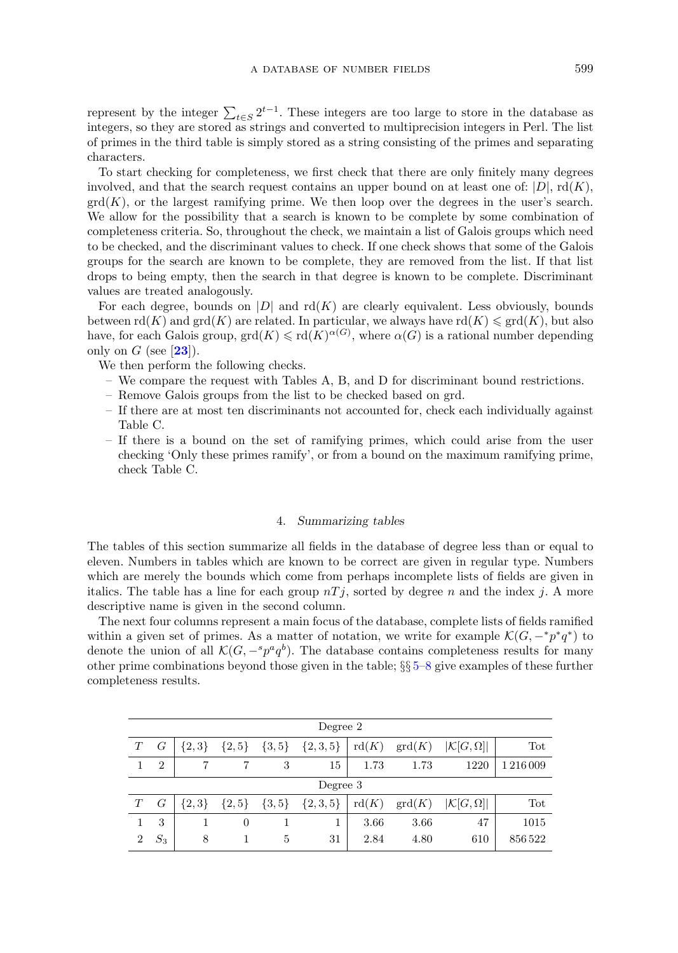represent by the integer  $\sum_{t\in S} 2^{t-1}$ . These integers are too large to store in the database as integers, so they are stored as strings and converted to multiprecision integers in Perl. The list of primes in the third table is simply stored as a string consisting of the primes and separating characters.

To start checking for completeness, we first check that there are only finitely many degrees involved, and that the search request contains an upper bound on at least one of:  $|D|$ ,  $rd(K)$ ,  $\mathrm{grd}(K)$ , or the largest ramifying prime. We then loop over the degrees in the user's search. We allow for the possibility that a search is known to be complete by some combination of completeness criteria. So, throughout the check, we maintain a list of Galois groups which need to be checked, and the discriminant values to check. If one check shows that some of the Galois groups for the search are known to be complete, they are removed from the list. If that list drops to being empty, then the search in that degree is known to be complete. Discriminant values are treated analogously.

For each degree, bounds on  $|D|$  and  $\text{rd}(K)$  are clearly equivalent. Less obviously, bounds between  $\text{rd}(K)$  and  $\text{grd}(K)$  are related. In particular, we always have  $\text{rd}(K) \leq \text{grd}(K)$ , but also have, for each Galois group,  $\text{grd}(K) \leq \text{rd}(K)^{\alpha(G)}$ , where  $\alpha(G)$  is a rational number depending only on  $G$  (see [[23](#page-22-15)]).

We then perform the following checks.

- We compare the request with Tables A, B, and D for discriminant bound restrictions.
- Remove Galois groups from the list to be checked based on grd.
- If there are at most ten discriminants not accounted for, check each individually against Table C.
- If there is a bound on the set of ramifying primes, which could arise from the user checking 'Only these primes ramify', or from a bound on the maximum ramifying prime, check Table C.

### 4. Summarizing tables

<span id="page-4-0"></span>The tables of this section summarize all fields in the database of degree less than or equal to eleven. Numbers in tables which are known to be correct are given in regular type. Numbers which are merely the bounds which come from perhaps incomplete lists of fields are given in italics. The table has a line for each group  $nTj$ , sorted by degree n and the index j. A more descriptive name is given in the second column.

The next four columns represent a main focus of the database, complete lists of fields ramified within a given set of primes. As a matter of notation, we write for example  $\mathcal{K}(G, -^*p^*q^*)$  to denote the union of all  $\mathcal{K}(G, -^s p^a q^b)$ . The database contains completeness results for many other prime combinations beyond those given in the table; §§ [5–](#page-10-0)[8](#page-15-0) give examples of these further completeness results.

|                | Degree 2       |                                                                                                                     |                |            |             |       |                         |                           |         |  |  |  |  |  |
|----------------|----------------|---------------------------------------------------------------------------------------------------------------------|----------------|------------|-------------|-------|-------------------------|---------------------------|---------|--|--|--|--|--|
| T              | G              | $\{2,3\}$                                                                                                           | $\{2, 5\}$     | $\{3, 5\}$ | $\{2,3,5\}$ | rd(K) | $\operatorname{grd}(K)$ | $ \mathcal{K}[G,\Omega] $ | Tot     |  |  |  |  |  |
|                | $\overline{2}$ |                                                                                                                     |                | 3          | 15          | 1.73  | 1.73                    | 1220                      | 1216009 |  |  |  |  |  |
|                | Degree 3       |                                                                                                                     |                |            |             |       |                         |                           |         |  |  |  |  |  |
| T              | G              | $\{2,3,5\}$<br>rd(K)<br>${2,3}$<br>$\{3, 5\}$<br>$\{2, 5\}$<br>$ \mathcal{K}[G,\Omega] $<br>$\operatorname{grd}(K)$ |                |            |             |       |                         |                           |         |  |  |  |  |  |
|                | 3              |                                                                                                                     | $\overline{0}$ |            |             | 3.66  | 3.66                    | 47                        | 1015    |  |  |  |  |  |
| $\overline{2}$ | $S_3$          | 8                                                                                                                   |                | 5          | 31          | 2.84  | 4.80                    | 610                       | 856522  |  |  |  |  |  |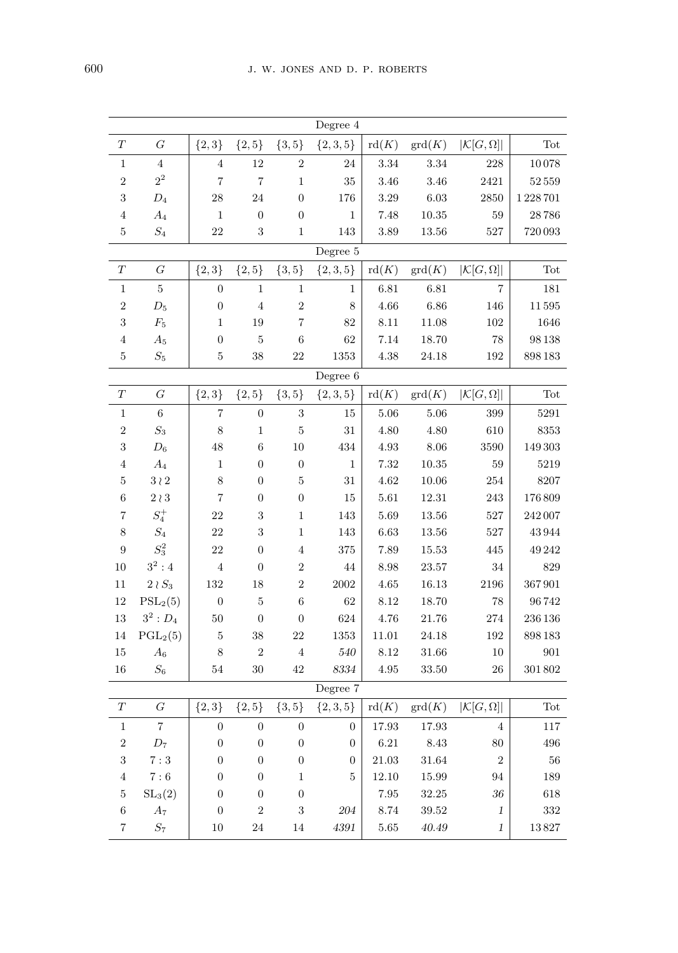|                  |                      |                         |                  |                         | Degree 4          |                  |                         |                           |                               |
|------------------|----------------------|-------------------------|------------------|-------------------------|-------------------|------------------|-------------------------|---------------------------|-------------------------------|
| $\cal T$         | G                    | ${2,3}$                 | ${2, 5}$         | $\{3, 5\}$              | $\{2,3,5\}$       | $\mathrm{rd}(K)$ | $\gcd(K)$               | $ \mathcal{K}[G,\Omega] $ | $\operatorname{\mathsf{Tot}}$ |
| $\mathbf{1}$     | $\overline{4}$       | $\overline{4}$          | $12\,$           | $\sqrt{2}$              | 24                | $3.34\,$         | $3.34\,$                | 228                       | 10078                         |
| $\,2$            | $2^2\,$              | $\overline{\mathbf{7}}$ | $\overline{7}$   | $\,1$                   | 35                | $3.46\,$         | $3.46\,$                | $2421\,$                  | $52\,559$                     |
| $\,3$            | $\mathcal{D}_4$      | $\sqrt{28}$             | $24\,$           | $\boldsymbol{0}$        | 176               | $3.29\,$         | $6.03\,$                | 2850                      | $1\,228\,701$                 |
| $\overline{4}$   | $A_4$                | $\mathbf{1}$            | $\boldsymbol{0}$ | $\boldsymbol{0}$        | $\mathbf{1}$      | $7.48\,$         | $10.35\,$               | 59                        | 28786                         |
| $\bf 5$          | $\mathcal{S}_4$      | $22\,$                  | $\,3$            | $\mathbf{1}$            | 143               | $3.89\,$         | $13.56\,$               | $527\,$                   | 720 093                       |
|                  |                      |                         |                  |                         | Degree 5          |                  |                         |                           |                               |
| $\cal T$         | $\cal G$             | ${2,3}$                 | ${2, 5}$         | ${3, 5}$                | $\{2,3,5\}$       | rd(K)            | $\operatorname{grd}(K)$ | $ \mathcal{K}[G,\Omega] $ | Tot                           |
| $\mathbf{1}$     | $\bf 5$              | $\boldsymbol{0}$        | $\mathbf{1}$     | $\,1$                   | 1                 | $6.81\,$         | $6.81\,$                | $\scriptstyle{7}$         | 181                           |
| $\,2$            | $D_5$                | $\boldsymbol{0}$        | $\sqrt{4}$       | $\sqrt{2}$              | $\,8\,$           | 4.66             | $6.86\,$                | 146                       | $11\,595$                     |
| $\,3$            | $\mathcal{F}_5$      | $\,1\,$                 | 19               | $\overline{\mathbf{7}}$ | 82                | $8.11\,$         | $11.08\,$               | 102                       | 1646                          |
| $\overline{4}$   | $A_5$                | $\boldsymbol{0}$        | $\bf 5$          | $\,6$                   | 62                | $7.14\,$         | 18.70                   | $78\,$                    | 98138                         |
| $\bf 5$          | $\mathcal{S}_5$      | $\bf 5$                 | 38               | 22                      | $1353\,$          | $4.38\,$         | $24.18\,$               | 192                       | 898183                        |
|                  |                      |                         |                  |                         | $\bar{D}$ egree 6 |                  |                         |                           |                               |
| $\boldsymbol{T}$ | $\cal G$             | ${2,3}$                 | ${2, 5}$         | $\{3, 5\}$              | $\{2,3,5\}$       | $\mathrm{rd}(K)$ | $\gcd(K)$               | $ \mathcal{K}[G,\Omega] $ | Tot                           |
| $\mathbf{1}$     | $\,6$                | $\scriptstyle{7}$       | $\boldsymbol{0}$ | $\sqrt{3}$              | 15                | $5.06\,$         | $5.06\,$                | 399                       | $5291\,$                      |
| $\,2$            | $\mathcal{S}_3$      | $8\,$                   | $\mathbf{1}$     | $\rm 5$                 | $31\,$            | $4.80\,$         | $4.80\,$                | $610\,$                   | $8353\,$                      |
| $\,3$            | $\mathcal{D}_6$      | 48                      | $\,6\,$          | $10\,$                  | $\rm 434$         | $4.93\,$         | $8.06\,$                | 3590                      | 149 303                       |
| $\,4\,$          | $\mathcal{A}_4$      | $\,1\,$                 | $\boldsymbol{0}$ | $\boldsymbol{0}$        | $\mathbf{1}$      | $7.32\,$         | $10.35\,$               | 59                        | 5219                          |
| $\mathbf 5$      | $3\wr 2$             | 8                       | $\boldsymbol{0}$ | $\bf 5$                 | $31\,$            | $4.62\,$         | $10.06\,$               | $254\,$                   | 8207                          |
| $\,6$            | $2 \wr 3$            | $\scriptstyle{7}$       | $\boldsymbol{0}$ | $\boldsymbol{0}$        | 15                | $5.61\,$         | $12.31\,$               | $243\,$                   | 176809                        |
| $\,7$            | ${\cal S}_4^+$       | $22\,$                  | $\sqrt{3}$       | $\,1$                   | 143               | $5.69\,$         | $13.56\,$               | 527                       | 242007                        |
| $\,8\,$          | $\mathcal{S}_4$      | 22                      | $\,3$            | $\mathbf{1}$            | 143               | $6.63\,$         | $13.56\,$               | 527                       | 43944                         |
| $\boldsymbol{9}$ | $\mathbb S^2_3$      | $22\,$                  | $\overline{0}$   | $\bf 4$                 | 375               | 7.89             | $15.53\,$               | 445                       | 49 24 2                       |
| $10\,$           | $3^2:4$              | $\,4\,$                 | $\boldsymbol{0}$ | $\,2$                   | $44\,$            | 8.98             | 23.57                   | $34\,$                    | 829                           |
| $11\,$           | $2\wr S_3$           | $132\,$                 | $18\,$           | $\,2$                   | $\,2002\,$        | $4.65\,$         | 16.13                   | $\;2196$                  | $367\,901$                    |
| $12\,$           | $PSL_2(5)$           | $\boldsymbol{0}$        | $\overline{5}$   | $\,6$                   | 62                | $8.12\,$         | 18.70                   | 78                        | 96742                         |
| $13\,$           | $3^2 : D_4$          | $50\,$                  | $\boldsymbol{0}$ | $\boldsymbol{0}$        | $624\,$           | $4.76\,$         | 21.76                   | 274                       | 236 136                       |
| $14\,$           | PGL <sub>2</sub> (5) | $\bf 5$                 | $38\,$           | $22\,$                  | $1353\,$          | 11.01            | $24.18\,$               | 192                       | 898183                        |
| $15\,$           | $A_6$                | 8                       | $\sqrt{2}$       | $\,4\,$                 | 540               | 8.12             | $31.66\,$               | $10\,$                    | $901\,$                       |
| 16               | $S_6$                | 54                      | 30               | 42                      | 8334              | 4.95             | 33.50                   | 26                        | 301802                        |
|                  |                      |                         |                  |                         | Degree 7          |                  |                         |                           |                               |
| $\cal T$         | $\cal G$             | ${2,3}$                 | ${2, 5}$         | $\{3, 5\}$              | $\{2, 3, 5\}$     | rd(K)            | $\operatorname{grd}(K)$ | $ \mathcal{K}[G,\Omega] $ | Tot                           |
| $\mathbf{1}$     | $\overline{7}$       | $\boldsymbol{0}$        | $\boldsymbol{0}$ | $\overline{0}$          | $\overline{0}$    | 17.93            | 17.93                   | 4                         | $117\,$                       |
| $\,2$            | $D_7$                | $\boldsymbol{0}$        | $\boldsymbol{0}$ | $\boldsymbol{0}$        | $\theta$          | $6.21\,$         | 8.43                    | 80                        | 496                           |
| $\sqrt{3}$       | $7:3\,$              | $\boldsymbol{0}$        | $\boldsymbol{0}$ | $\boldsymbol{0}$        | $\boldsymbol{0}$  | $21.03\,$        | 31.64                   | $\overline{2}$            | $56\,$                        |
| $\overline{4}$   | $7:6\,$              | $\overline{0}$          | $\boldsymbol{0}$ | $\mathbf{1}$            | 5                 | 12.10            | 15.99                   | 94                        | 189                           |
| $\bf 5$          | SL <sub>3</sub> (2)  | $\boldsymbol{0}$        | $\boldsymbol{0}$ | $\boldsymbol{0}$        |                   | 7.95             | 32.25                   | 36                        | 618                           |
| $\;6\;$          | $A_7$                | $\boldsymbol{0}$        | $\boldsymbol{2}$ | $\,3$                   | 204               | 8.74             | $39.52\,$               | 1                         | $332\,$                       |
| $\,7$            | $\mathcal{S}_7$      | 10                      | 24               | 14                      | $4391\,$          | $5.65\,$         | $40.49\,$               | 1                         | 13827                         |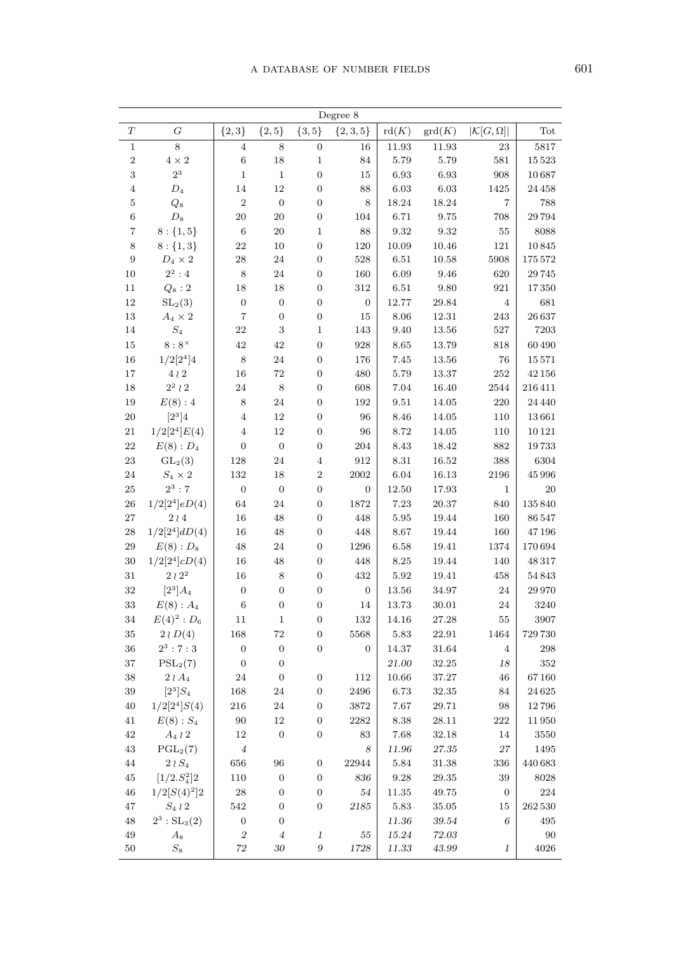|                   |                      |                   |                  |                  | Degree 8           |          |           |                           |          |
|-------------------|----------------------|-------------------|------------------|------------------|--------------------|----------|-----------|---------------------------|----------|
| T                 | G                    | ${2,3}$           | ${2, 5}$         | ${3, 5}$         | ${2, 3, 5}$        | rd(K)    | $\gcd(K)$ | $ \mathcal{K}[G,\Omega] $ | Tot      |
| $\mathbf 1$       | 8                    | $\overline{4}$    | 8                | $\boldsymbol{0}$ | 16                 | 11.93    | 11.93     | 23                        | 5817     |
| $\,2$             | $4\times2$           | $\,6\,$           | 18               | $\,1$            | 84                 | 5.79     | 5.79      | 581                       | 15 5 23  |
| $\,3$             | $2^3\,$              | $\mathbf{1}$      | $\,1$            | $\boldsymbol{0}$ | 15                 | 6.93     | 6.93      | 908                       | 10687    |
| $\overline{4}$    | $D_4$                | 14                | 12               | $\boldsymbol{0}$ | 88                 | 6.03     | 6.03      | 1425                      | 24 458   |
| $\bf 5$           | $\mathbb{Q}_8$       | $\sqrt{2}$        | $\boldsymbol{0}$ | 0                | 8                  | 18.24    | 18.24     | $\overline{7}$            | 788      |
| $\,6\,$           | $D_8$                | $20\,$            | $20\,$           | $\boldsymbol{0}$ | 104                | 6.71     | $\,9.75$  | 708                       | 29794    |
| $\scriptstyle{7}$ | $8: \{1, 5\}$        | $\,6\,$           | $20\,$           | $\,1$            | 88                 | 9.32     | 9.32      | 55                        | 8088     |
| 8                 | $8: \{1,3\}$         | $22\,$            | 10               | $\boldsymbol{0}$ | 120                | 10.09    | 10.46     | 121                       | 10845    |
| 9                 | $D_4 \times 2$       | 28                | 24               | $\boldsymbol{0}$ | 528                | 6.51     | 10.58     | 5908                      | 175572   |
| $10\,$            | $2^{\rm 2}:4$        | $\,8\,$           | 24               | $\boldsymbol{0}$ | 160                | 6.09     | 9.46      | 620                       | 29745    |
| 11                | $\mathbb{Q}_8:2$     | 18                | 18               | $\boldsymbol{0}$ | 312                | 6.51     | 9.80      | 921                       | 17350    |
| $12\,$            | SL <sub>2</sub> (3)  | $\boldsymbol{0}$  | $\boldsymbol{0}$ | $\boldsymbol{0}$ | $\overline{0}$     | 12.77    | 29.84     | $\overline{4}$            | 681      |
| $13\,$            | $A_4 \times 2$       | $\scriptstyle{7}$ | $\boldsymbol{0}$ | $\boldsymbol{0}$ | 15                 | 8.06     | 12.31     | 243                       | 26637    |
| 14                | $\mathcal{S}_4$      | $22\,$            | $\sqrt{3}$       | $\mathbf 1$      | 143                | 9.40     | 13.56     | 527                       | 7203     |
| 15                | $8:8^\times$         | 42                | 42               | $\boldsymbol{0}$ | 928                | 8.65     | 13.79     | 818                       | 60490    |
| $16\,$            | $1/2[2^4]4$          | $\,$ 8 $\,$       | $\sqrt{24}$      | $\boldsymbol{0}$ | 176                | 7.45     | 13.56     | 76                        | 15571    |
| 17                | $4\wr 2$             | 16                | 72               | $\boldsymbol{0}$ | 480                | 5.79     | 13.37     | $252\,$                   | 42156    |
| 18                | $2^2 \wr 2$          | $24\,$            | $\,$ 8 $\,$      | $\boldsymbol{0}$ | 608                | $7.04\,$ | 16.40     | $\bf 2544$                | 216 411  |
| 19                | E(8): 4              | $\,8\,$           | 24               | $\boldsymbol{0}$ | 192                | 9.51     | 14.05     | 220                       | 24 4 4 0 |
| $20\,$            | $[2^3]4$             | $\overline{4}$    | 12               | $\boldsymbol{0}$ | 96                 | 8.46     | 14.05     | 110                       | 13661    |
| 21                | $1/2[2^4]E(4)$       | $\,4\,$           | 12               | $\boldsymbol{0}$ | 96                 | 8.72     | 14.05     | 110                       | 10121    |
| $22\,$            | $E(8) : D_4$         | $\overline{0}$    | $\boldsymbol{0}$ | $\boldsymbol{0}$ | 204                | 8.43     | 18.42     | 882                       | 19733    |
| 23                | GL <sub>2</sub> (3)  | 128               | 24               | $\,4\,$          | $\boldsymbol{912}$ | 8.31     | 16.52     | 388                       | 6304     |
| $\sqrt{24}$       | $S_4\times 2$        | 132               | 18               | $\,2$            | $\,2002\,$         | 6.04     | 16.13     | 2196                      | 45 996   |
| $\rm 25$          | $2^3\div 7$          | $\boldsymbol{0}$  | $\boldsymbol{0}$ | $\boldsymbol{0}$ | $\mathbf{0}$       | 12.50    | 17.93     | $\mathbf{1}$              | 20       |
| $\sqrt{26}$       | $1/2[2^4]eD(4)$      | 64                | 24               | $\boldsymbol{0}$ | 1872               | 7.23     | 20.37     | 840                       | 135840   |
| 27                | $2\wr 4$             | 16                | 48               | $\boldsymbol{0}$ | 448                | 5.95     | 19.44     | 160                       | 86547    |
| 28                | $1/2[2^4]dD(4)$      | 16                | 48               | 0                | 448                | 8.67     | 19.44     | 160                       | 47196    |
| $\,29$            | $E(8) : D_8$         | 48                | 24               | 0                | 1296               | 6.58     | 19.41     | 1374                      | 170694   |
| $30\,$            | $1/2[2^4]cD(4)$      | 16                | 48               | $\boldsymbol{0}$ | 448                | $8.25\,$ | 19.44     | 140                       | 48317    |
| 31                | $2\wr 2^2$           | 16                | $\,$ 8 $\,$      | $\boldsymbol{0}$ | 432                | 5.92     | 19.41     | 458                       | 54843    |
| $32\,$            | $[2^3]A_4$           | $\boldsymbol{0}$  | $\boldsymbol{0}$ | $\boldsymbol{0}$ | $\mathbf{0}$       | 13.56    | 34.97     | 24                        | 29970    |
| 33                | $E(8) : A_4$         | $\,6\,$           | $\boldsymbol{0}$ | $\boldsymbol{0}$ | 14                 | 13.73    | 30.01     | 24                        | 3240     |
| $34\,$            | $E(4)^2 : D_6$       | 11                | $\mathbf{1}$     | 0                | 132                | 14.16    | 27.28     | 55                        | 3907     |
| $35\,$            | $2 \wr D(4)$         | 168               | 72               | $\boldsymbol{0}$ | 5568               | 5.83     | 22.91     | 1464                      | 729 730  |
| 36                | $2^3:7:3$            | $\boldsymbol{0}$  | $\boldsymbol{0}$ | $\boldsymbol{0}$ | $\overline{0}$     | 14.37    | 31.64     | $\overline{4}$            | 298      |
| 37                | $PSL_2(7)$           | $\boldsymbol{0}$  | $\boldsymbol{0}$ |                  |                    | 21.00    | 32.25     | 18                        | 352      |
| 38                | $2\wr A_4$           | 24                | $\boldsymbol{0}$ | $\boldsymbol{0}$ | $112\,$            | 10.66    | 37.27     | 46                        | 67160    |
| $39\,$            | $[2^3]S_4$           | 168               | 24               | $\boldsymbol{0}$ | 2496               | 6.73     | 32.35     | 84                        | 24625    |
| 40                | $1/2[2^4]S(4)$       | $216\,$           | $\,24$           | $\boldsymbol{0}$ | 3872               | $7.67\,$ | 29.71     | 98                        | 12796    |
| 41                | $E(8) : S_4$         | 90                | 12               | $\boldsymbol{0}$ | 2282               | 8.38     | 28.11     | 222                       | 11950    |
| $42\,$            | $A_4 \wr 2$          | 12                | $\boldsymbol{0}$ | $\boldsymbol{0}$ | 83                 | 7.68     | 32.18     | 14                        | $3550\,$ |
| 43                | PGL <sub>2</sub> (7) | $\boldsymbol{4}$  |                  |                  | 8                  | 11.96    | 27.35     | 27                        | 1495     |
| 44                | $2\wr S_4$           | 656               | 96               | $\boldsymbol{0}$ | 22944              | 5.84     | 31.38     | 336                       | 440683   |
| 45                | $[1/2.S_4^2]2$       | 110               | $\boldsymbol{0}$ | $\boldsymbol{0}$ | 836                | 9.28     | 29.35     | 39                        | 8028     |
| 46                | $1/2[S(4)^2]2$       | 28                | $\boldsymbol{0}$ | $\boldsymbol{0}$ | 54                 | 11.35    | 49.75     | $\mathbf{0}$              | 224      |
| 47                | $S_4\wr 2$           | 542               | $\boldsymbol{0}$ | 0                | 2185               | 5.83     | 35.05     | 15                        | 262 530  |
| 48                | $2^3:SL_3(2)$        | $\boldsymbol{0}$  | $\boldsymbol{0}$ |                  |                    | 11.36    | 39.54     | 6                         | 495      |
| 49                | $A_8$                | $\sqrt{2}$        | $\boldsymbol{4}$ | 1                | 55                 | 15.24    | 72.03     |                           | 90       |
| 50                | $S_8$                | 72                | 30               | $\boldsymbol{9}$ | 1728               | 11.33    | 43.99     | 1                         | 4026     |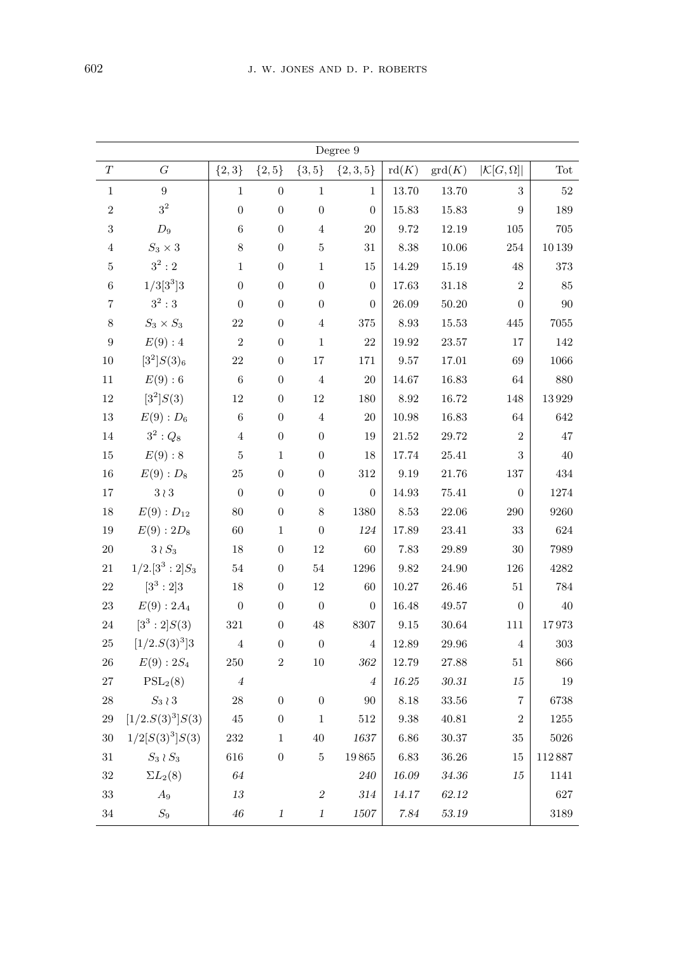|                  |                           |                  |                  |                  | Degree 9       |                     |             |                           |                  |
|------------------|---------------------------|------------------|------------------|------------------|----------------|---------------------|-------------|---------------------------|------------------|
| $\cal T$         | $\cal G$                  | ${2,3}$          | ${2, 5}$         | $\{3, 5\}$       | ${2, 3, 5}$    | rd(K)               | $\gcd(K)$   | $ \mathcal{K}[G,\Omega] $ | Tot              |
| $\,1\,$          | $\boldsymbol{9}$          | $\mathbf{1}$     | $\boldsymbol{0}$ | $\mathbf{1}$     | $\mathbf{1}$   | 13.70               | 13.70       | $\sqrt{3}$                | $52\,$           |
| $\,2$            | $3^2\,$                   | $\boldsymbol{0}$ | $\boldsymbol{0}$ | $\boldsymbol{0}$ | $\overline{0}$ | 15.83               | 15.83       | 9                         | 189              |
| $\sqrt{3}$       | $D_9$                     | $\,6\,$          | $\boldsymbol{0}$ | $\overline{4}$   | $20\,$         | 9.72                | 12.19       | 105                       | $705\,$          |
| $\overline{4}$   | $S_3\times 3$             | $8\,$            | $\mathbf{0}$     | $\bf 5$          | 31             | $8.38\,$            | $10.06\,$   | 254                       | $10\,139$        |
| $\bf 5$          | $3^2:2$                   | $1\,$            | $\boldsymbol{0}$ | $\mathbf{1}$     | 15             | 14.29               | 15.19       | 48                        | $373\,$          |
| $\,6\,$          | $1/3[3^3]3$               | $\boldsymbol{0}$ | $\mathbf{0}$     | $\overline{0}$   | $\mathbf{0}$   | 17.63               | $31.18\,$   | $\boldsymbol{2}$          | 85               |
| $\,7$            | $3^2:3$                   | $\boldsymbol{0}$ | $\boldsymbol{0}$ | $\boldsymbol{0}$ | $\overline{0}$ | 26.09               | $50.20\,$   | $\overline{0}$            | $90\,$           |
| $8\,$            | $S_3 \times S_3$          | $22\,$           | $\boldsymbol{0}$ | $\overline{4}$   | 375            | 8.93                | 15.53       | 445                       | $7055\,$         |
| $\boldsymbol{9}$ | E(9):4                    | $\sqrt{2}$       | $\boldsymbol{0}$ | $\mathbf{1}$     | 22             | 19.92               | $23.57\,$   | 17                        | 142              |
| 10               | $[3^2]S(3)_6$             | $22\,$           | $\mathbf{0}$     | 17               | 171            | $\ 9.57$            | $17.01\,$   | 69                        | 1066             |
| $11\,$           | E(9): 6                   | $\,6$            | $\boldsymbol{0}$ | $\,4\,$          | $20\,$         | 14.67               | 16.83       | 64                        | $880\,$          |
| $12\,$           | $[3^2]S(3)$               | $12\,$           | $\boldsymbol{0}$ | 12               | 180            | 8.92                | $16.72\,$   | 148                       | $13\,929$        |
| $13\,$           | $E(9) : D_6$              | $\,6$            | $\boldsymbol{0}$ | $\,4\,$          | 20             | $10.98\,$           | 16.83       | 64                        | $642\,$          |
| $14\,$           | $3^2$ : $\mathbb{Q}_8$    | $\sqrt{4}$       | $\mathbf{0}$     | $\boldsymbol{0}$ | 19             | $21.52\,$           | $29.72\,$   | $\boldsymbol{2}$          | $47\,$           |
| $15\,$           | E(9):8                    | $\bf 5$          | $\mathbf{1}$     | $\boldsymbol{0}$ | 18             | 17.74               | 25.41       | 3                         | $40\,$           |
| 16               | $E(9) : D_8$              | $25\,$           | $\boldsymbol{0}$ | $\boldsymbol{0}$ | 312            | 9.19                | $21.76\,$   | $137\,$                   | $\!34$           |
| $17\,$           | $3 \wr 3$                 | $\boldsymbol{0}$ | $\boldsymbol{0}$ | $\boldsymbol{0}$ | $\mathbf{0}$   | 14.93               | 75.41       | $\overline{0}$            | $1274\,$         |
| $18\,$           | $E(9) : D_{12}$           | 80               | $\boldsymbol{0}$ | 8                | 1380           | $8.53\,$            | 22.06       | 290                       | 9260             |
| $19\,$           | $E(9): 2D_8$              | $60\,$           | $\mathbf{1}$     | $\boldsymbol{0}$ | 124            | 17.89               | $23.41\,$   | 33                        | 624              |
| $20\,$           | $3\wr S_3$                | 18               | $\boldsymbol{0}$ | 12               | 60             | 7.83                | 29.89       | 30                        | 7989             |
| $21\,$           | $1/2.[3^3:2]S_3$          | $54\,$           | $\boldsymbol{0}$ | $54\,$           | 1296           | $\boldsymbol{9.82}$ | 24.90       | 126                       | 4282             |
| $22\,$           | $[3^3:2]3$                | $18\,$           | $\boldsymbol{0}$ | 12               | 60             | $10.27\,$           | $26.46\,$   | 51                        | $\phantom{0}784$ |
| $23\,$           | $E(9): 2A_4$              | $\boldsymbol{0}$ | $\boldsymbol{0}$ | $\boldsymbol{0}$ | $\mathbf{0}$   | 16.48               | $\rm 49.57$ | $\mathbf{0}$              | $40\,$           |
| $24\,$           | $[3^3:2]S(3)$             | $321\,$          | $\boldsymbol{0}$ | 48               | $8307\,$       | $\,9.15$            | $30.64\,$   | 111                       | 17973            |
| $25\,$           | [1/2.S(3) <sup>3</sup> ]3 | $\,4\,$          | $\boldsymbol{0}$ | $\boldsymbol{0}$ | 4              | 12.89               | 29.96       | $\overline{4}$            | $303\,$          |
| $26\,$           | $E(9):2S_4$               | $250\,$          | $\,2$            | $10\,$           | 362            | 12.79               | $27.88\,$   | 51                        | 866              |
| $27\,$           | $PSL_2(8)$                | $\ensuremath{4}$ |                  |                  | $\overline{4}$ | 16.25               | 30.31       | $15\,$                    | $19\,$           |
| $\,28$           | $S_3 \wr 3$               | $\,28$           | $\boldsymbol{0}$ | $\boldsymbol{0}$ | 90             | $8.18\,$            | $33.56\,$   | 7                         | 6738             |
| $\,29$           | $[1/2.S(3)^3]S(3)$        | 45               | $\boldsymbol{0}$ | $\mathbf{1}$     | 512            | 9.38                | 40.81       | 2                         | 1255             |
| $30\,$           | $1/2[S(3)^3]S(3)$         | $\bf 232$        | $\mathbf{1}$     | 40               | 1637           | $6.86\,$            | 30.37       | 35                        | 5026             |
| $31\,$           | $S_3 \wr S_3$             | 616              | $\boldsymbol{0}$ | $\bf 5$          | 19865          | $6.83\,$            | 36.26       | 15                        | 112887           |
| $32\,$           | $\Sigma L_2(8)$           | $64\,$           |                  |                  | 240            | $16.09\,$           | $34.36\,$   | 15                        | 1141             |
| $33\,$           | $A_9$                     | 13               |                  | $\sqrt{2}$       | $314\,$        | 14.17               | 62.12       |                           | 627              |
| $34\,$           | $\mathcal{S}_9$           | $\sqrt{46}$      | $\boldsymbol{1}$ | $\boldsymbol{1}$ | $1507\,$       | $7.84\,$            | $53.19\,$   |                           | 3189             |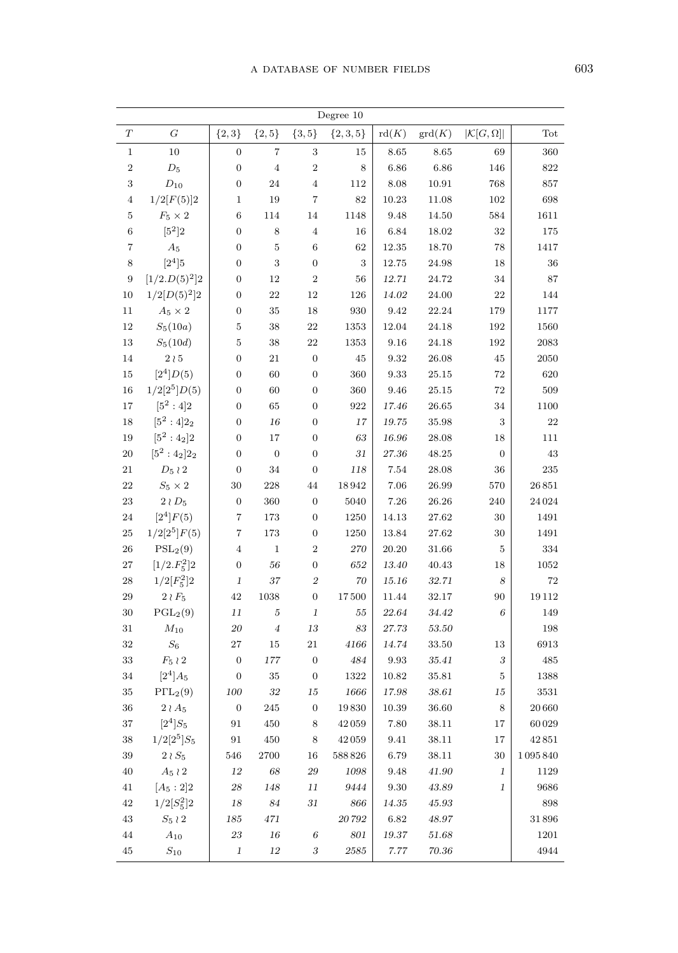|                |                           |                   |                  |                   | Degree 10   |       |                         |                           |           |
|----------------|---------------------------|-------------------|------------------|-------------------|-------------|-------|-------------------------|---------------------------|-----------|
| T              | G                         | ${2,3}$           | ${2, 5}$         | ${3, 5}$          | ${2, 3, 5}$ | rd(K) | $\operatorname{grd}(K)$ | $ \mathcal{K}[G,\Omega] $ | Tot       |
| $\mathbf{1}$   | $10\,$                    | $\boldsymbol{0}$  | $\overline{7}$   | 3                 | 15          | 8.65  | 8.65                    | 69                        | 360       |
| $\,2$          | $D_5$                     | $\boldsymbol{0}$  | $\overline{4}$   | $\overline{2}$    | 8           | 6.86  | 6.86                    | 146                       | $822\,$   |
| $\sqrt{3}$     | $D_{10}$                  | $\boldsymbol{0}$  | 24               | $\overline{4}$    | 112         | 8.08  | 10.91                   | 768                       | 857       |
| $\,4\,$        | 1/2[F(5)]2                | $\mathbf{1}$      | 19               | 7                 | 82          | 10.23 | 11.08                   | 102                       | 698       |
| $\bf 5$        | $F_5 \times 2$            | $\,6$             | 114              | 14                | 1148        | 9.48  | 14.50                   | 584                       | 1611      |
| $\,6\,$        | $[5^2]2$                  | $\boldsymbol{0}$  | $\,$ 8 $\,$      | $\overline{4}$    | 16          | 6.84  | 18.02                   | 32                        | 175       |
| $\overline{7}$ | $A_5$                     | $\boldsymbol{0}$  | 5                | 6                 | 62          | 12.35 | 18.70                   | 78                        | 1417      |
| $\,$ 8 $\,$    | $[2^4]5$                  | $\boldsymbol{0}$  | 3                | $\boldsymbol{0}$  | 3           | 12.75 | 24.98                   | 18                        | 36        |
| 9              | [1/2.D(5) <sup>2</sup> ]2 | $\boldsymbol{0}$  | 12               | $\overline{2}$    | 56          | 12.71 | 24.72                   | 34                        | 87        |
| 10             | $1/2[D(5)^{2}]2$          | $\boldsymbol{0}$  | $22\,$           | 12                | 126         | 14.02 | 24.00                   | 22                        | 144       |
| 11             | $A_5 \times 2$            | $\boldsymbol{0}$  | 35               | 18                | 930         | 9.42  | 22.24                   | 179                       | 1177      |
| 12             | $S_5(10a)$                | 5                 | 38               | $22\,$            | 1353        | 12.04 | 24.18                   | 192                       | 1560      |
| 13             | $S_5(10d)$                | 5                 | 38               | 22                | 1353        | 9.16  | 24.18                   | 192                       | 2083      |
| 14             | $2\wr 5$                  | $\boldsymbol{0}$  | $21\,$           | $\boldsymbol{0}$  | 45          | 9.32  | 26.08                   | 45                        | 2050      |
| 15             | $[2^4]D(5)$               | $\boldsymbol{0}$  | 60               | $\boldsymbol{0}$  | 360         | 9.33  | 25.15                   | 72                        | 620       |
| 16             | $1/2[2^5]D(5)$            | $\boldsymbol{0}$  | 60               | $\boldsymbol{0}$  | $360\,$     | 9.46  | 25.15                   | 72                        | 509       |
| 17             | $[5^2:4]2$                | $\boldsymbol{0}$  | 65               | $\boldsymbol{0}$  | $922\,$     | 17.46 | 26.65                   | 34                        | 1100      |
| 18             | $[5^2:4]2_2$              | $\boldsymbol{0}$  | $16\,$           | 0                 | 17          | 19.75 | 35.98                   | 3                         | 22        |
| 19             | $[5^2:4_2]2$              | 0                 | 17               | $\boldsymbol{0}$  | 63          | 16.96 | 28.08                   | 18                        | 111       |
| $20\,$         | $[5^2:4_2]2_2$            | $\boldsymbol{0}$  | $\boldsymbol{0}$ | $\boldsymbol{0}$  | $31\,$      | 27.36 | 48.25                   | $\mathbf{0}$              | 43        |
| 21             | $D_5\wr 2$                | $\boldsymbol{0}$  | 34               | $\boldsymbol{0}$  | 118         | 7.54  | 28.08                   | 36                        | 235       |
| 22             | $S_5 \times 2$            | 30                | 228              | 44                | 18942       | 7.06  | 26.99                   | 570                       | 26851     |
| 23             | $2 \wr D_5$               | $\boldsymbol{0}$  | 360              | $\boldsymbol{0}$  | 5040        | 7.26  | 26.26                   | 240                       | 24024     |
| 24             | $[2^4]F(5)$               | $\overline{7}$    | 173              | $\boldsymbol{0}$  | 1250        | 14.13 | 27.62                   | 30                        | 1491      |
| $25\,$         | $1/2[2^5]F(5)$            | $\overline{7}$    | 173              | $\boldsymbol{0}$  | 1250        | 13.84 | 27.62                   | 30                        | 1491      |
| 26             | $PSL_2(9)$                | $\overline{4}$    | $\mathbf{1}$     | $\overline{2}$    | $270\,$     | 20.20 | 31.66                   | 5                         | 334       |
| 27             | $[1/2.F_5^2]2$            | 0                 | 56               | 0                 | $652\,$     | 13.40 | 40.43                   | 18                        | 1052      |
| 28             | $1/2[F_5^2]2$             | 1                 | $37\,$           | 2                 | $70\,$      | 15.16 | 32.71                   | 8                         | 72        |
| 29             | $2\wr F_5$                | 42                | 1038             | $\boldsymbol{0}$  | 17500       | 11.44 | 32.17                   | 90                        | 19112     |
| $30\,$         | PGL <sub>2</sub> (9)      | 11                | $\sqrt{5}$       | 1                 | 55          | 22.64 | 34.42                   | 6                         | 149       |
| $31\,$         | $M_{10}$                  | 20                | $\overline{4}$   | 13                | 83          | 27.73 | 53.50                   |                           | 198       |
| $32\,$         | $\mathcal{S}_6$           | 27                | 15               | 21                | 4166        | 14.74 | 33.50                   | 13                        | 6913      |
| 33             | $F_5 \wr 2$               | $\boldsymbol{0}$  | 177              | $\overline{0}$    | 484         | 9.93  | 35.41                   | 3                         | 485       |
| 34             | $[2^4]A_5$                | $\boldsymbol{0}$  | $35\,$           | $\boldsymbol{0}$  | $1322\,$    | 10.82 | 35.81                   | 5                         | 1388      |
| $35\,$         | $P\Gamma L_2(9)$          | 100               | $32\,$           | 15                | 1666        | 17.98 | $38.61\,$               | 15                        | $3531\,$  |
| $36\,$         | $2\wr A_5$                | $\boldsymbol{0}$  | $245\,$          | $\boldsymbol{0}$  | 19830       | 10.39 | 36.60                   | 8                         | 20 660    |
| $37\,$         | $[2^4]S_5$                | 91                | 450              | 8                 | 42059       | 7.80  | $38.11\,$               | 17                        | 60029     |
| $38\,$         | $1/2[2^5]S_5$             | $\boldsymbol{91}$ | $450\,$          | $\,8\,$           | 42059       | 9.41  | $38.11\,$               | 17                        | $42\,851$ |
| $39\,$         | $2\wr S_5$                | 546               | 2700             | 16                | 588826      | 6.79  | 38.11                   | 30                        | 1095840   |
| $40\,$         | $A_5 \wr 2$               | 12                | $68\,$           | $\boldsymbol{29}$ | 1098        | 9.48  | $41.90\,$               | 1                         | 1129      |
| 41             | $[A_5:2]2$                | 28                | 148              | $11\,$            | 9444        | 9.30  | 43.89                   | 1                         | 9686      |
| $42\,$         | $1/2[S_5^2]2$             | 18                | $84\,$           | $31\,$            | 866         | 14.35 | 45.93                   |                           | 898       |
| 43             | $S_5 \wr 2$               | 185               | 471              |                   | $20\,792$   | 6.82  | 48.97                   |                           | 31896     |
| 44             | $A_{10}$                  | 23                | $16\,$           | 6                 | 801         | 19.37 | 51.68                   |                           | $1201\,$  |
| 45             | $\mathcal{S}_{10}$        | 1                 | 12               | 3                 | $2585\,$    | 7.77  | 70.36                   |                           | 4944      |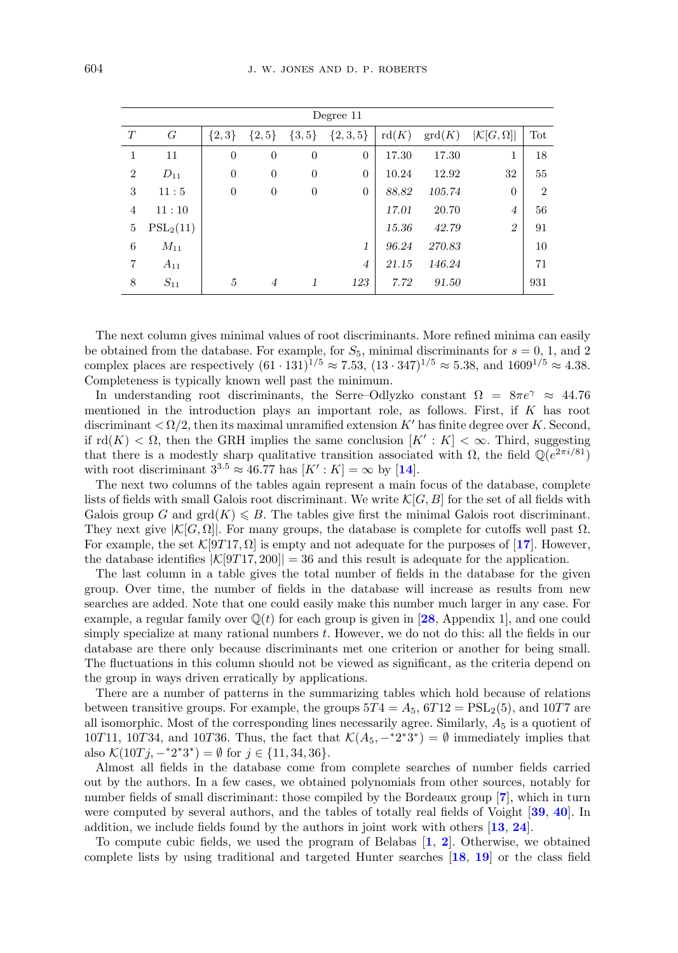| Degree 11      |             |                |                |                |                |       |                         |                           |                |  |  |  |  |
|----------------|-------------|----------------|----------------|----------------|----------------|-------|-------------------------|---------------------------|----------------|--|--|--|--|
| T              | G           | $\{2,3\}$      | $\{2, 5\}$     | $\{3, 5\}$     | $\{2,3,5\}$    | rd(K) | $\operatorname{grd}(K)$ | $ \mathcal{K}[G,\Omega] $ | Tot            |  |  |  |  |
| 1              | 11          | $\overline{0}$ | $\overline{0}$ | $\theta$       | $\overline{0}$ | 17.30 | 17.30                   | $\mathbf{1}$              | 18             |  |  |  |  |
| $\overline{2}$ | $D_{11}$    | $\overline{0}$ | $\overline{0}$ | $\theta$       | $\overline{0}$ | 10.24 | 12.92                   | 32                        | 55             |  |  |  |  |
| 3              | 11:5        | $\overline{0}$ | $\theta$       | $\overline{0}$ | $\overline{0}$ | 88.82 | 105.74                  | $\theta$                  | $\overline{2}$ |  |  |  |  |
| 4              | 11:10       |                |                |                |                | 17.01 | 20.70                   | $\overline{4}$            | 56             |  |  |  |  |
| 5              | $PSL_2(11)$ |                |                |                |                | 15.36 | 42.79                   | 2                         | 91             |  |  |  |  |
| 6              | $M_{11}$    |                |                |                | 1              | 96.24 | 270.83                  |                           | 10             |  |  |  |  |
| 7              | $A_{11}$    |                |                |                | $\overline{4}$ | 21.15 | 146.24                  |                           | 71             |  |  |  |  |
| 8              | $S_{11}$    | 5              | $\overline{4}$ | 1              | 123            | 7.72  | 91.50                   |                           | 931            |  |  |  |  |

The next column gives minimal values of root discriminants. More refined minima can easily be obtained from the database. For example, for  $S_5$ , minimal discriminants for  $s = 0, 1$ , and 2 complex places are respectively  $(61 \cdot 131)^{1/5} \approx 7.53$ ,  $(13 \cdot 347)^{1/5} \approx 5.38$ , and  $1609^{1/5} \approx 4.38$ . Completeness is typically known well past the minimum.

In understanding root discriminants, the Serre–Odlyzko constant  $\Omega = 8\pi e^{\gamma} \approx 44.76$ mentioned in the introduction plays an important role, as follows. First, if  $K$  has root discriminant  $\langle \Omega/2$ , then its maximal unramified extension K' has finite degree over K. Second, if  $\text{rd}(K) < \Omega$ , then the GRH implies the same conclusion  $[K': K] < \infty$ . Third, suggesting that there is a modestly sharp qualitative transition associated with  $\Omega$ , the field  $\mathbb{Q}(e^{2\pi i/81})$ with root discriminant  $3^{3.5} \approx 46.77$  has  $[K': K] = \infty$  by [[14](#page-22-16)].

The next two columns of the tables again represent a main focus of the database, complete lists of fields with small Galois root discriminant. We write  $\mathcal{K}[G, B]$  for the set of all fields with Galois group G and  $\text{grd}(K) \leq B$ . The tables give first the minimal Galois root discriminant. They next give  $|\mathcal{K}[G,\Omega]|$ . For many groups, the database is complete for cutoffs well past  $\Omega$ . For example, the set  $\mathcal{K}[9T17, \Omega]$  $\mathcal{K}[9T17, \Omega]$  $\mathcal{K}[9T17, \Omega]$  is empty and not adequate for the purposes of [17]. However, the database identifies  $|\mathcal{K}[9T17, 200]| = 36$  and this result is adequate for the application.

The last column in a table gives the total number of fields in the database for the given group. Over time, the number of fields in the database will increase as results from new searches are added. Note that one could easily make this number much larger in any case. For example, a regular family over  $\mathbb{O}(t)$  for each group is given in [[28](#page-22-18), Appendix 1], and one could simply specialize at many rational numbers  $t$ . However, we do not do this: all the fields in our database are there only because discriminants met one criterion or another for being small. The fluctuations in this column should not be viewed as significant, as the criteria depend on the group in ways driven erratically by applications.

There are a number of patterns in the summarizing tables which hold because of relations between transitive groups. For example, the groups  $5T4 = A_5$ ,  $6T12 = \text{PSL}_2(5)$ , and  $10T7$  are all isomorphic. Most of the corresponding lines necessarily agree. Similarly,  $A_5$  is a quotient of 10T11, 10T34, and 10T36. Thus, the fact that  $\mathcal{K}(A_5, -1^*2^*3^*) = \emptyset$  immediately implies that also  $\mathcal{K}(10Tj, -12^*3^*) = \emptyset$  for  $j \in \{11, 34, 36\}.$ 

Almost all fields in the database come from complete searches of number fields carried out by the authors. In a few cases, we obtained polynomials from other sources, notably for number fields of small discriminant: those compiled by the Bordeaux group [[7](#page-22-19)], which in turn were computed by several authors, and the tables of totally real fields of Voight [[39](#page-23-7), [40](#page-23-8)]. In addition, we include fields found by the authors in joint work with others [[13](#page-22-20), [24](#page-22-21)].

To compute cubic fields, we used the program of Belabas [[1](#page-22-22), [2](#page-22-23)]. Otherwise, we obtained complete lists by using traditional and targeted Hunter searches [[18](#page-22-10), [19](#page-22-24)] or the class field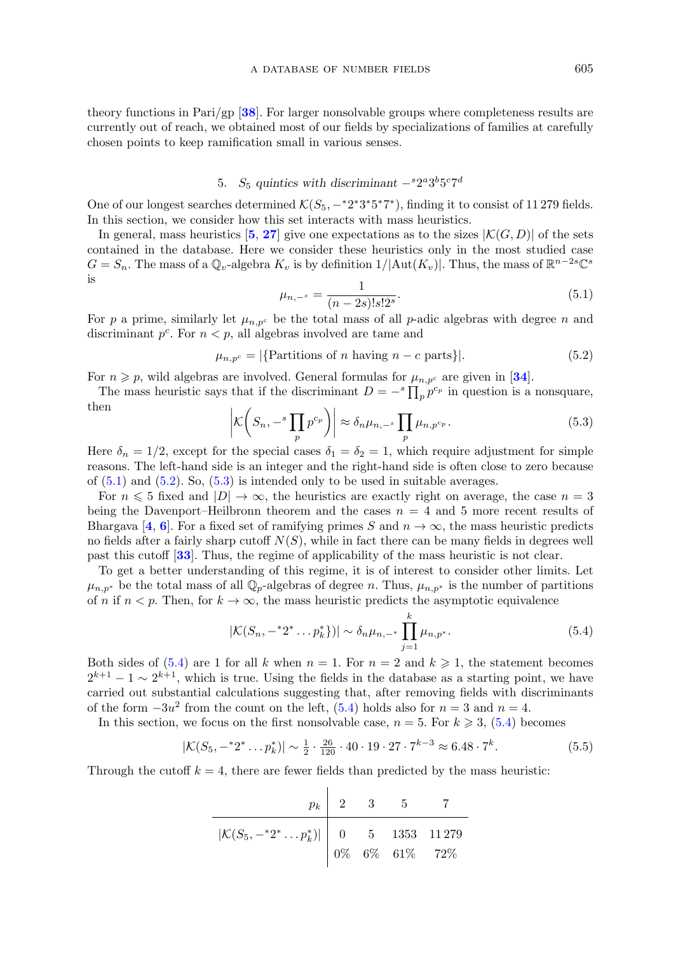theory functions in Pari/gp  $[38]$  $[38]$  $[38]$ . For larger nonsolvable groups where completeness results are currently out of reach, we obtained most of our fields by specializations of families at carefully chosen points to keep ramification small in various senses.

# 5.  $S_5$  quintics with discriminant  $-{}^s2^a3^b5^c7^d$

<span id="page-10-0"></span>One of our longest searches determined  $\mathcal{K}(S_5, -12^*3^*5^*7^*)$ , finding it to consist of 11 279 fields. In this section, we consider how this set interacts with mass heuristics.

In general, mass heuristics [[5](#page-22-3), [27](#page-22-25)] give one expectations as to the sizes  $|\mathcal{K}(G, D)|$  of the sets contained in the database. Here we consider these heuristics only in the most studied case  $G = S_n$ . The mass of a  $\mathbb{Q}_v$ -algebra  $K_v$  is by definition  $1/|\text{Aut}(K_v)|$ . Thus, the mass of  $\mathbb{R}^{n-2s}\mathbb{C}^s$ is

<span id="page-10-1"></span>
$$
\mu_{n,-s} = \frac{1}{(n-2s)!s!2^s}.\tag{5.1}
$$

For p a prime, similarly let  $\mu_{n,pc}$  be the total mass of all p-adic algebras with degree n and discriminant  $p^c$ . For  $n < p$ , all algebras involved are tame and

<span id="page-10-2"></span> $\mu_{n,p^c} = |\{\text{Partitions of } n \text{ having } n - c \text{ parts}\}|.$  (5.2)

For  $n \geq p$ , wild algebras are involved. General formulas for  $\mu_{n,p^c}$  are given in [[34](#page-23-9)].

The mass heuristic says that if the discriminant  $D = -<sup>s</sup> \prod_{p} p^{c_p}$  in question is a nonsquare, then  $\vert$ 

<span id="page-10-3"></span>
$$
\left| \mathcal{K}\left(S_n, -^s \prod_p p^{c_p} \right) \right| \approx \delta_n \mu_{n,-s} \prod_p \mu_{n,p^{c_p}}.
$$
\n(5.3)

Here  $\delta_n = 1/2$ , except for the special cases  $\delta_1 = \delta_2 = 1$ , which require adjustment for simple reasons. The left-hand side is an integer and the right-hand side is often close to zero because of  $(5.1)$  and  $(5.2)$ . So,  $(5.3)$  is intended only to be used in suitable averages.

For  $n \leq 5$  fixed and  $|D| \to \infty$ , the heuristics are exactly right on average, the case  $n = 3$ being the Davenport–Heilbronn theorem and the cases  $n = 4$  and 5 more recent results of Bhargava [[4](#page-22-26), [6](#page-22-27)]. For a fixed set of ramifying primes S and  $n \to \infty$ , the mass heuristic predicts no fields after a fairly sharp cutoff  $N(S)$ , while in fact there can be many fields in degrees well past this cutoff [[33](#page-23-10)]. Thus, the regime of applicability of the mass heuristic is not clear.

To get a better understanding of this regime, it is of interest to consider other limits. Let  $\mu_{n,p^*}$  be the total mass of all  $\mathbb{Q}_p$ -algebras of degree n. Thus,  $\mu_{n,p^*}$  is the number of partitions of n if  $n < p$ . Then, for  $k \to \infty$ , the mass heuristic predicts the asymptotic equivalence

<span id="page-10-4"></span>
$$
|\mathcal{K}(S_n, -^*2^* \dots p_k^*)| \sim \delta_n \mu_{n,-^*} \prod_{j=1}^k \mu_{n,p^*}.
$$
 (5.4)

Both sides of [\(5.4\)](#page-10-4) are 1 for all k when  $n = 1$ . For  $n = 2$  and  $k \ge 1$ , the statement becomes  $2^{k+1} - 1 \sim 2^{k+1}$ , which is true. Using the fields in the database as a starting point, we have carried out substantial calculations suggesting that, after removing fields with discriminants of the form  $-3u^2$  from the count on the left, [\(5.4\)](#page-10-4) holds also for  $n = 3$  and  $n = 4$ .

In this section, we focus on the first nonsolvable case,  $n = 5$ . For  $k \geq 3$ , [\(5.4\)](#page-10-4) becomes

<span id="page-10-5"></span>
$$
|\mathcal{K}(S_5, -^*2^* \dots p_k^*)| \sim \frac{1}{2} \cdot \frac{26}{120} \cdot 40 \cdot 19 \cdot 27 \cdot 7^{k-3} \approx 6.48 \cdot 7^k. \tag{5.5}
$$

Through the cutoff  $k = 4$ , there are fewer fields than predicted by the mass heuristic:  $\mathbf{I}$ 

| $p_k$                                    | 2  | 3   | 5    | 7     |
|------------------------------------------|----|-----|------|-------|
| $ \mathcal{K}(S_5, -^*2^* \dots p_k^*) $ | 0  | 5   | 1353 | 11279 |
| 0%                                       | 6% | 61% | 72%  |       |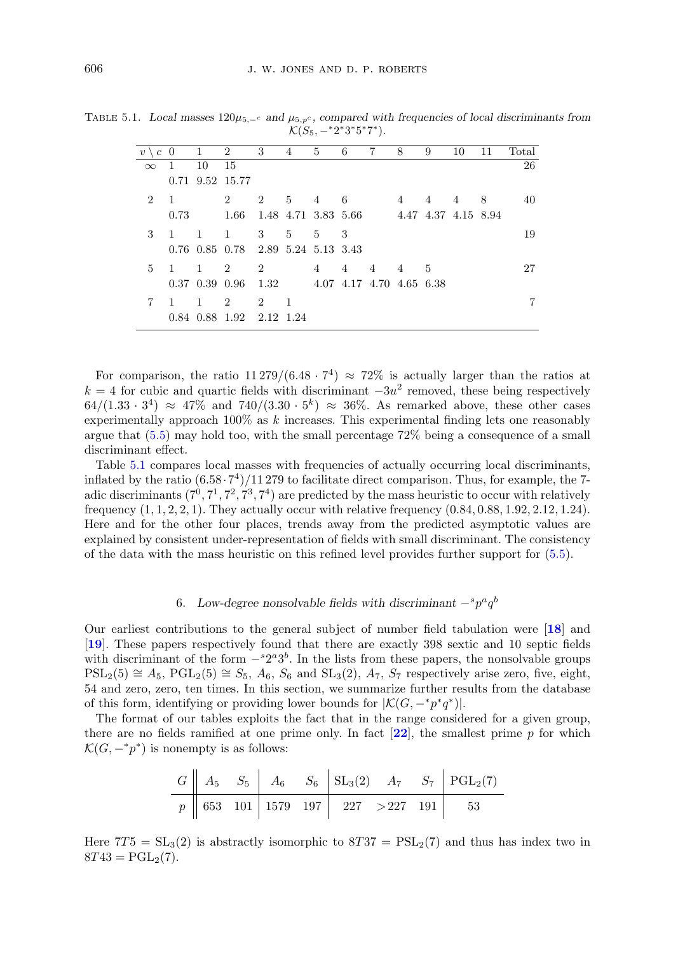<span id="page-11-1"></span>

| $v \setminus c$ 0 |                | 1                    | $\overline{2}$                     | 3              | 4                   | 5 | -6                       | 7 | 8              | 9                   | 10 | -11 | Total |
|-------------------|----------------|----------------------|------------------------------------|----------------|---------------------|---|--------------------------|---|----------------|---------------------|----|-----|-------|
| $\infty$          | -1             | 10                   | 15                                 |                |                     |   |                          |   |                |                     |    |     | 26    |
|                   |                |                      | 0.71 9.52 15.77                    |                |                     |   |                          |   |                |                     |    |     |       |
| $\overline{2}$    | -1             |                      | $\overline{2}$                     | $2^{\circ}$    | $5 -$               | 4 | - 6                      |   | 4              | 4 4                 |    | -8  | 40    |
|                   | 0.73           |                      | 1.66                               |                | 1.48 4.71 3.83 5.66 |   |                          |   |                | 4.47 4.37 4.15 8.94 |    |     |       |
| 3                 | -1             | -1                   | 1                                  | 3              | 5 <sup>5</sup>      | 5 | 3                        |   |                |                     |    |     | 19    |
|                   |                |                      | 0.76 0.85 0.78 2.89 5.24 5.13 3.43 |                |                     |   |                          |   |                |                     |    |     |       |
| 5                 | $\overline{1}$ | $\mathbf{1}$         | $\overline{2}$                     | $\overline{2}$ |                     | 4 | $\overline{4}$           | 4 | $\overline{4}$ | 5                   |    |     | 27    |
|                   |                | $0.37$ $0.39$ $0.96$ |                                    | - 1.32         |                     |   | 4.07 4.17 4.70 4.65 6.38 |   |                |                     |    |     |       |
|                   | -1             | 1                    | $\mathcal{D}_{\mathcal{L}}$        | $\overline{2}$ | $\mathbf{1}$        |   |                          |   |                |                     |    |     | 7     |
|                   |                | 0.84 0.88 1.92       |                                    | 2.12           | 1.24                |   |                          |   |                |                     |    |     |       |
|                   |                |                      |                                    |                |                     |   |                          |   |                |                     |    |     |       |

TABLE 5.1. Local masses  $120\mu_{5,-c}$  and  $\mu_{5,p^c}$ , compared with frequencies of local discriminants from  $\mathcal{K}(S_5, -^*2^*3^*5^*7^*)$ .

For comparison, the ratio  $11\,279/(6.48 \cdot 7^4) \approx 72\%$  is actually larger than the ratios at  $k = 4$  for cubic and quartic fields with discriminant  $-3u^2$  removed, these being respectively  $64/(1.33 \cdot 3^4) \approx 47\%$  and  $740/(3.30 \cdot 5^k) \approx 36\%$ . As remarked above, these other cases experimentally approach  $100\%$  as k increases. This experimental finding lets one reasonably argue that [\(5.5\)](#page-10-5) may hold too, with the small percentage 72% being a consequence of a small discriminant effect.

Table [5.1](#page-11-1) compares local masses with frequencies of actually occurring local discriminants, inflated by the ratio  $(6.58 \cdot 7^4)/11279$  to facilitate direct comparison. Thus, for example, the 7adic discriminants  $(7^0, 7^1, 7^2, 7^3, 7^4)$  are predicted by the mass heuristic to occur with relatively frequency  $(1, 1, 2, 2, 1)$ . They actually occur with relative frequency  $(0.84, 0.88, 1.92, 2.12, 1.24)$ . Here and for the other four places, trends away from the predicted asymptotic values are explained by consistent under-representation of fields with small discriminant. The consistency of the data with the mass heuristic on this refined level provides further support for [\(5.5\)](#page-10-5).

# 6. Low-degree nonsolvable fields with discriminant  $-{}^s p^a q^b$

<span id="page-11-0"></span>Our earliest contributions to the general subject of number field tabulation were [[18](#page-22-10)] and [[19](#page-22-24)]. These papers respectively found that there are exactly 398 sextic and 10 septic fields with discriminant of the form  $-{}^{s}2^{a}3^{b}$ . In the lists from these papers, the nonsolvable groups  $PSL_2(5) \cong A_5$ ,  $PGL_2(5) \cong S_5$ ,  $A_6$ ,  $S_6$  and  $SL_3(2)$ ,  $A_7$ ,  $S_7$  respectively arise zero, five, eight, 54 and zero, zero, ten times. In this section, we summarize further results from the database of this form, identifying or providing lower bounds for  $|K(G, -^*p^*q^*)|$ .

The format of our tables exploits the fact that in the range considered for a given group, there are no fields ramified at one prime only. In fact  $[22]$  $[22]$  $[22]$ , the smallest prime p for which  $\mathcal{K}(G, -^*p^*)$  is nonempty is as follows:

| G | $A_5$ | $S_5$ | $A_6$ | $S_6$ | $SL_3(2)$ | $A_7$ | $S_7$ | $PGL_2(7)$ |
|---|-------|-------|-------|-------|-----------|-------|-------|------------|
| p | 653   | 101   | 1579  | 197   | 227       | 227   | 191   | 53         |

Here  $7T5 = SL_3(2)$  is abstractly isomorphic to  $8T37 = PSL_2(7)$  and thus has index two in  $8T43 = PGL<sub>2</sub>(7).$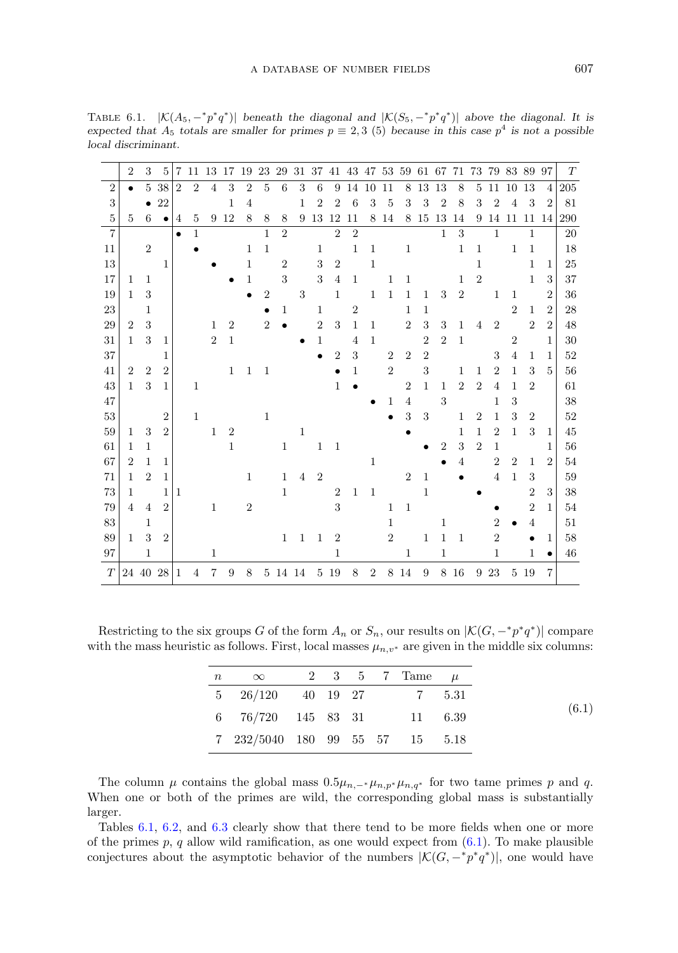|                | $\overline{2}$ | 3              | 5              | 7              | 11             | -13            | 17             | 19             | 23             | 29             | 31             | 37             |                |                |                | 41 43 47 53 59 61 67 |                |                |                | 71             |                |                | 73 79 83 89 97 |                |                  | T   |
|----------------|----------------|----------------|----------------|----------------|----------------|----------------|----------------|----------------|----------------|----------------|----------------|----------------|----------------|----------------|----------------|----------------------|----------------|----------------|----------------|----------------|----------------|----------------|----------------|----------------|------------------|-----|
| $\overline{2}$ | $\bullet$      |                | 5 38           | $\overline{2}$ | $\overline{2}$ | 4              | 3              | $\overline{2}$ | $\overline{5}$ | 6              | 3              | 6              | 9              | 14             | 10             | 11                   | 8              | -13            | 13             | 8              | 5              | 11             | 10             | -13            | 4                | 205 |
| 3              |                |                | 22             |                |                |                | 1              | $\overline{4}$ |                |                | 1              | $\overline{2}$ | $\overline{2}$ | 6              | 3              | 5                    | 3              | 3              | $\overline{2}$ | 8              | 3              | $\overline{2}$ | $\overline{4}$ | 3              | $\overline{2}$   | 81  |
| $\overline{5}$ | 5              | 6              | $\bullet$      | $\overline{4}$ | 5              | 9              | 12             | 8              | 8              | 8              | 9              | 13             | 12             | 11             |                | 8 14                 | 8              | 15             | 13             | -14            |                | 9 14           | 11             | -11            | -14              | 290 |
| $\overline{7}$ |                |                |                | $\bullet$      | 1              |                |                |                | $\mathbf{1}$   | $\overline{2}$ |                |                | $\overline{2}$ | $\overline{2}$ |                |                      |                |                | $\mathbf{1}$   | 3              |                | 1              |                | 1              |                  | 20  |
| 11             |                | $\overline{2}$ |                |                |                |                |                | 1              | $\mathbf{1}$   |                |                | 1              |                | 1              | $\mathbf{1}$   |                      | $\mathbf{1}$   |                |                | $\mathbf 1$    | 1              |                | 1              | 1              |                  | 18  |
| 13             |                |                | $\mathbf{1}$   |                |                |                |                | 1              |                | $\overline{2}$ |                | 3              | $\overline{2}$ |                | 1              |                      |                |                |                |                | 1              |                |                | 1              | 1                | 25  |
| 17             | 1              | 1              |                |                |                |                |                | 1              |                | 3              |                | 3              | $\overline{4}$ | 1              |                | 1                    | 1              |                |                | 1              | $\overline{2}$ |                |                | 1              | 3                | 37  |
| 19             | $\mathbf{1}$   | 3              |                |                |                |                |                |                | $\overline{2}$ |                | 3              |                | 1              |                | 1              | 1                    | 1              | 1              | 3              | $\overline{2}$ |                | $\mathbf{1}$   | 1              |                | $\overline{2}$   | 36  |
| 23             |                | $\mathbf{1}$   |                |                |                |                |                |                |                | $\mathbf{1}$   |                | $\mathbf{1}$   |                | $\overline{2}$ |                |                      | $\mathbf{1}$   | $\mathbf{1}$   |                |                |                |                | $\overline{2}$ | 1              | $\overline{2}$   | 28  |
| 29             | $\overline{2}$ | 3              |                |                |                | 1              | $\overline{2}$ |                | $\overline{2}$ |                |                | $\overline{2}$ | 3              | 1              | 1              |                      | $\overline{2}$ | $\sqrt{3}$     | 3              | 1              | 4              | $\overline{2}$ |                | $\overline{2}$ | $\boldsymbol{2}$ | 48  |
| 31             | $\mathbf{1}$   | 3              | 1              |                |                | $\overline{2}$ | $\mathbf{1}$   |                |                |                |                | 1              |                | 4              | 1              |                      |                | $\overline{2}$ | $\overline{2}$ | 1              |                |                | $\overline{2}$ |                | 1                | 30  |
| 37             |                |                | 1              |                |                |                |                |                |                |                |                |                | $\overline{2}$ | 3              |                | $\overline{2}$       | $\overline{2}$ | $\overline{2}$ |                |                |                | 3              | $\overline{4}$ | 1              | 1                | 52  |
| 41             | $\overline{2}$ | $\overline{2}$ | $\overline{2}$ |                |                |                | $\mathbf{1}$   | 1              | 1              |                |                |                |                | 1              |                | $\overline{2}$       |                | 3              |                | 1              | 1              | $\overline{2}$ | 1              | 3              | 5                | 56  |
| 43             | $\mathbf{1}$   | 3              | $\mathbf{1}$   |                | 1              |                |                |                |                |                |                |                | 1              |                |                |                      | $\overline{2}$ | 1              | 1              | $\overline{2}$ | $\overline{2}$ | 4              | 1              | $\overline{2}$ |                  | 61  |
| 47             |                |                |                |                |                |                |                |                |                |                |                |                |                |                |                | 1                    | 4              |                | 3              |                |                | 1              | $\sqrt{3}$     |                |                  | 38  |
| 53             |                |                | $\overline{2}$ |                | $\mathbf{1}$   |                |                |                | $\mathbf{1}$   |                |                |                |                |                |                |                      | 3              | 3              |                | 1              | $\overline{2}$ | 1              | 3              | $\overline{2}$ |                  | 52  |
| 59             | $\mathbf{1}$   | 3              | $\overline{2}$ |                |                | $\mathbf{1}$   | $\overline{2}$ |                |                |                | $\mathbf{1}$   |                |                |                |                |                      |                |                |                | 1              | 1              | $\overline{2}$ | $\mathbf{1}$   | 3              | 1                | 45  |
| 61             | 1              | $\mathbf{1}$   |                |                |                |                | $\mathbf 1$    |                |                | $\mathbf{1}$   |                | $\mathbf{1}$   | 1              |                |                |                      |                |                | $\overline{2}$ | 3              | $\overline{2}$ | 1              |                |                | 1                | 56  |
| 67             | $\overline{2}$ | $\mathbf 1$    | $\mathbf{1}$   |                |                |                |                |                |                |                |                |                |                |                | 1              |                      |                |                |                | 4              |                | $\overline{2}$ | $\overline{2}$ | 1              | $\overline{2}$   | 54  |
| 71             | 1              | $\overline{2}$ | 1              |                |                |                |                | $\mathbf{1}$   |                | $\mathbf{1}$   | $\overline{4}$ | $\overline{2}$ |                |                |                |                      | $\overline{2}$ | 1              |                |                |                | $\overline{4}$ | $\mathbf{1}$   | 3              |                  | 59  |
| 73             | 1              |                | 1              | 1              |                |                |                |                |                | $\mathbf{1}$   |                |                | $\overline{2}$ | 1              | 1              |                      |                | 1              |                |                |                |                |                | $\overline{2}$ | 3                | 38  |
| 79             | 4              | 4              | $\overline{2}$ |                |                | $\mathbf 1$    |                | $\overline{2}$ |                |                |                |                | 3              |                |                | 1                    | 1              |                |                |                |                |                |                | $\overline{2}$ | 1                | 54  |
| 83             |                | $\mathbf{1}$   |                |                |                |                |                |                |                |                |                |                |                |                |                | 1                    |                |                | 1              |                |                | $\overline{2}$ |                | $\overline{4}$ |                  | 51  |
| 89             | $\mathbf{1}$   | 3              | $\overline{2}$ |                |                |                |                |                |                | $\mathbf{1}$   | $\mathbf{1}$   | $\mathbf{1}$   | $\overline{2}$ |                |                | $\overline{2}$       |                | 1              | 1              | 1              |                | $\overline{2}$ |                |                | 1                | 58  |
| 97             |                | $\mathbf 1$    |                |                |                | 1              |                |                |                |                |                |                | 1              |                |                |                      | $\mathbf{1}$   |                | 1              |                |                | 1              |                | 1              |                  | 46  |
| T              |                | 24 40 28       |                | 1              | 4              | 7              | 9              | 8              |                | 5 14 14        |                |                | 5 19           | 8              | $\overline{2}$ | 8                    | 14             | 9              |                | 8 16           | 9              | 23             |                | 5 19           | 7                |     |

<span id="page-12-0"></span>TABLE 6.1.  $|\mathcal{K}(A_5, -^*p^*q^*)|$  beneath the diagonal and  $|\mathcal{K}(S_5, -^*p^*q^*)|$  above the diagonal. It is expected that  $A_5$  totals are smaller for primes  $p \equiv 2,3$  (5) because in this case  $p^4$  is not a possible local discriminant.

Restricting to the six groups G of the form  $A_n$  or  $S_n$ , our results on  $|\mathcal{K}(G, -^*p^*q^*)|$  compare with the mass heuristic as follows. First, local masses  $\mu_{n,v^*}$  are given in the middle six columns:

<span id="page-12-1"></span>

| $\,n$ |                                                          |  |  | $\infty$ 2 3 5 7 Tame $\mu$ |  |
|-------|----------------------------------------------------------|--|--|-----------------------------|--|
|       | $5\quad 26/120\quad 40\quad 19\quad 27\quad 7\quad 5.31$ |  |  |                             |  |
|       | 6 76/720 145 83 31 11 6.39                               |  |  |                             |  |
|       | 7 232/5040 180 99 55 57 15 5.18                          |  |  |                             |  |

The column  $\mu$  contains the global mass  $0.5\mu_{n,-} \mu_{n,p^*}\mu_{n,q^*}$  for two tame primes p and q. When one or both of the primes are wild, the corresponding global mass is substantially larger.

Tables [6.1,](#page-12-0) [6.2,](#page-13-1) and [6.3](#page-13-2) clearly show that there tend to be more fields when one or more of the primes p, q allow wild ramification, as one would expect from  $(6.1)$ . To make plausible conjectures about the asymptotic behavior of the numbers  $|{\mathcal{K}}(G, -^*p^*q^*)|$ , one would have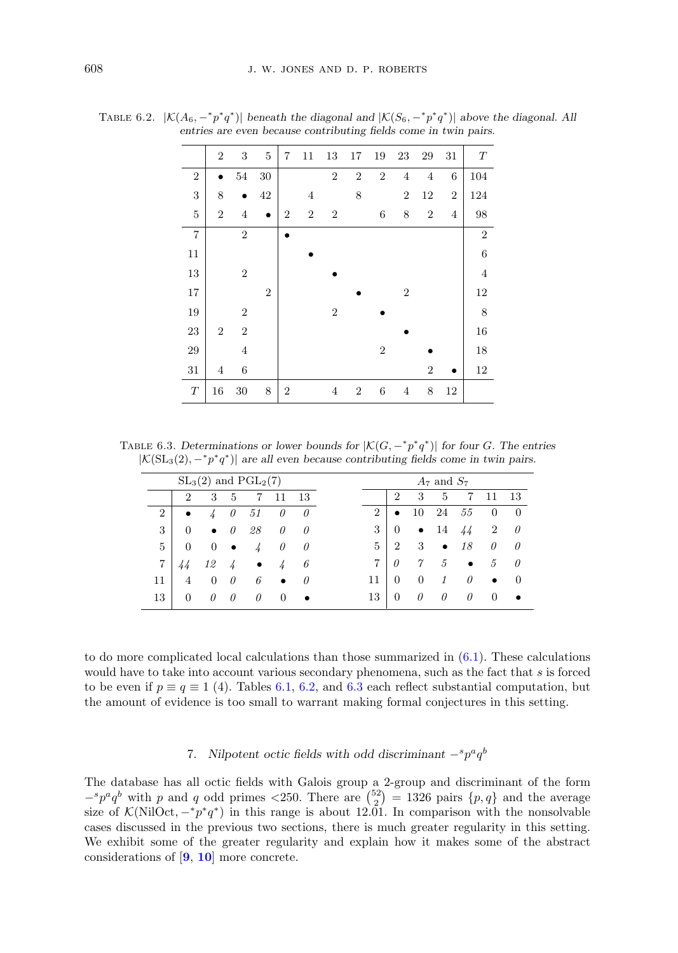<span id="page-13-1"></span>

|                | $\overline{2}$   | $\boldsymbol{3}$ | $\overline{5}$ | 7              | 11             | 13               | 17               | 19             | 23               | 29               | 31             | T              |
|----------------|------------------|------------------|----------------|----------------|----------------|------------------|------------------|----------------|------------------|------------------|----------------|----------------|
| $\overline{2}$ | $\bullet$        | $54\,$           | 30             |                |                | $\overline{2}$   | $\boldsymbol{2}$ | $\sqrt{2}$     | $\overline{4}$   | $\overline{4}$   | 6              | 104            |
| 3              | 8                | $\bullet$        | 42             |                | $\overline{4}$ |                  | $8\,$            |                | $\overline{2}$   | 12               | $\overline{2}$ | 124            |
| $\bf 5$        | $\boldsymbol{2}$ | $\,4\,$          | $\bullet$      | $\overline{2}$ | $\overline{2}$ | $\boldsymbol{2}$ |                  | 6              | 8                | $\boldsymbol{2}$ | $\overline{4}$ | 98             |
| $\overline{7}$ |                  | $\boldsymbol{2}$ |                |                |                |                  |                  |                |                  |                  |                | $\overline{2}$ |
| 11             |                  |                  |                |                |                |                  |                  |                |                  |                  |                | $\,6$          |
| 13             |                  | $\boldsymbol{2}$ |                |                |                |                  |                  |                |                  |                  |                | $\overline{4}$ |
| 17             |                  |                  | $\sqrt{2}$     |                |                |                  |                  |                | $\boldsymbol{2}$ |                  |                | 12             |
| 19             |                  | $\overline{2}$   |                |                |                | $\overline{2}$   |                  |                |                  |                  |                | 8              |
| $23\,$         | $\overline{2}$   | $\,2$            |                |                |                |                  |                  |                |                  |                  |                | 16             |
| $\,29$         |                  | $\,4\,$          |                |                |                |                  |                  | $\overline{2}$ |                  |                  |                | 18             |
| 31             | $\overline{4}$   | $\,6$            |                |                |                |                  |                  |                |                  | $\sqrt{2}$       |                | 12             |
| $\cal T$       | 16               | $30\,$           | 8              | $\overline{2}$ |                | $\overline{4}$   | $\overline{2}$   | $\,6$          | $\,4\,$          | $8\,$            | 12             |                |

TABLE 6.2.  $|\mathcal{K}(A_6, -^*p^*q^*)|$  beneath the diagonal and  $|\mathcal{K}(S_6, -^*p^*q^*)|$  above the diagonal. All entries are even because contributing fields come in twin pairs.

TABLE 6.3. Determinations or lower bounds for  $|\mathcal{K}(G, -^*p^*q^*)|$  for four G. The entries  $|\mathcal{K}(SL_3(2), -{}^*p^*q^*)|$  are all even because contributing fields come in twin pairs.

<span id="page-13-2"></span>

|                |                |               |               | $SL_3(2)$ and $PGL_2(7)$ |           |          |    |                |           | $A_7$ and $S_7$ |           |           |                |
|----------------|----------------|---------------|---------------|--------------------------|-----------|----------|----|----------------|-----------|-----------------|-----------|-----------|----------------|
|                | 2              | 3             | 5             | 7                        | 11        | -13      |    | 2              | 3         | 5               | 7         | 11        | -13            |
| $\overline{2}$ | $\bullet$      | $\frac{1}{4}$ | U             | 51                       | $\theta$  | 0        | 2  | $\bullet$      | 10        | 24              | 55        | $\theta$  | $\overline{0}$ |
| 3              | $\Omega$       | $\bullet$     | $\theta$      | 28                       | 0         | $\theta$ | 3  | $\theta$       | $\bullet$ | -14             | 44        | 2         | 0              |
| 5              | $\theta$       | $\theta$      | $\bullet$     | 4                        | $\theta$  | 0        | 5. | $\overline{2}$ | 3         | $\bullet$       | 18        | 0         | $\theta$       |
| 7              |                | 12            | $\frac{1}{4}$ | $\bullet$                | 4         | 6        | 7  | $\theta$       | 7         | 5               | $\bullet$ | 5         | $\theta$       |
| 11             | $\overline{4}$ | $\theta$      | $\theta$      | 6                        | $\bullet$ | $\theta$ | 11 | $\Omega$       | $\Omega$  | 1               | 0         | $\bullet$ | $\theta$       |
| 13             | $\theta$       | $\theta$      | $\theta$      | $\theta$                 | $\theta$  |          | 13 | 0              | 0         | 0               | 0         | $\theta$  |                |

to do more complicated local calculations than those summarized in [\(6.1\)](#page-12-1). These calculations would have to take into account various secondary phenomena, such as the fact that s is forced to be even if  $p \equiv q \equiv 1 \ (4)$ . Tables [6.1,](#page-12-0) [6.2,](#page-13-1) and [6.3](#page-13-2) each reflect substantial computation, but the amount of evidence is too small to warrant making formal conjectures in this setting.

# 7. Nilpotent octic fields with odd discriminant  $-{}^s p^a q^b$

<span id="page-13-0"></span>The database has all octic fields with Galois group a 2-group and discriminant of the form  $-s p^a q^b$  with p and q odd primes <250. There are  $\binom{52}{2} = 1326$  pairs  $\{p,q\}$  and the average size of  $\mathcal{K}(\text{NilOct}, -^*p^*q^*)$  in this range is about 12.01. In comparison with the nonsolvable cases discussed in the previous two sections, there is much greater regularity in this setting. We exhibit some of the greater regularity and explain how it makes some of the abstract considerations of [[9](#page-22-4), [10](#page-22-5)] more concrete.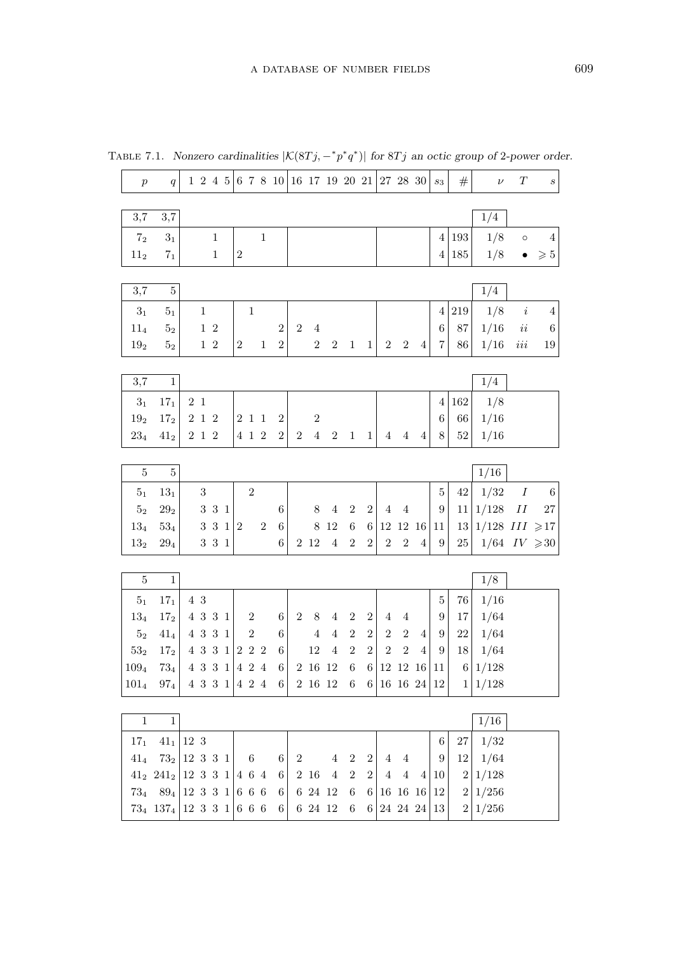<span id="page-14-0"></span>

| 1 2 4 5 6 7 8 10 16 17 19 20 21 27 28 30<br>$\boldsymbol{T}$<br>$_{\#}$<br>$\nu$<br>$\mathfrak{s}_3$<br>$\,p\,$<br>q                                                                                                                                                                                                                                                                             | $\boldsymbol{s}$          |
|--------------------------------------------------------------------------------------------------------------------------------------------------------------------------------------------------------------------------------------------------------------------------------------------------------------------------------------------------------------------------------------------------|---------------------------|
|                                                                                                                                                                                                                                                                                                                                                                                                  |                           |
| 1/4<br>3,7<br>3,7                                                                                                                                                                                                                                                                                                                                                                                |                           |
| 1/8<br>$\mathbf{3}_{1}$<br>$\,1\,$<br>$\mathbf{1}$<br>4 <sup>1</sup><br>193<br>$7_{2}$                                                                                                                                                                                                                                                                                                           | $\overline{4}$<br>$\circ$ |
| 1/8<br>$\,1$<br>$\boldsymbol{2}$<br>4 185<br>11 <sub>2</sub><br>7 <sub>1</sub>                                                                                                                                                                                                                                                                                                                   | $\geqslant 5$             |
|                                                                                                                                                                                                                                                                                                                                                                                                  |                           |
| 1/4<br>3,7<br>5                                                                                                                                                                                                                                                                                                                                                                                  |                           |
| $\mathbf{1}$<br>$219\,$<br>1/8<br>3 <sub>1</sub><br>$\mathbf{1}$<br>4 <sup>1</sup><br>5 <sub>1</sub>                                                                                                                                                                                                                                                                                             | $\it i$<br>4              |
| $\sqrt{2}$<br>1/16<br>$1\hskip 4pt 2$<br>$\sqrt{2}$<br>$\,4\,$<br>$\,6$<br>$11_4$<br>87<br>5 <sub>2</sub>                                                                                                                                                                                                                                                                                        | ii<br>6                   |
| $\overline{2}$<br>$1\hskip 4pt 2$<br>$\overline{2}$<br>$\overline{2}$<br>$\,2$<br>$\,1$<br>$\,1\,$<br>$\overline{2}$<br>$\overline{2}$<br>$\overline{7}$<br>19 <sub>2</sub><br>$\mathbf{1}$<br>$\overline{4}$<br>86<br>1/16<br>5 <sub>2</sub><br>iii                                                                                                                                             | $19\,$                    |
|                                                                                                                                                                                                                                                                                                                                                                                                  |                           |
| $\mathbf{1}$<br>1/4<br>3,7                                                                                                                                                                                                                                                                                                                                                                       |                           |
| 1/8<br>2 1<br>162<br>3 <sub>1</sub><br>$17_1$<br>4                                                                                                                                                                                                                                                                                                                                               |                           |
| 1 2<br>$\boldsymbol{2}$<br>6<br>1/16<br>$19_{2}$<br>$17_{2}$<br>2<br>2 1 1<br>$\boldsymbol{2}$<br>66                                                                                                                                                                                                                                                                                             |                           |
| $\overline{2}$<br>$\,4\,$<br>$\,2$<br>8<br>52<br>$23_4$<br>$2\hspace{0.1cm}\widehat{} \hspace{0.1cm} 1\hspace{0.1cm}\widehat{} \hspace{0.1cm} 2$<br>$4\hspace{0.1cm}\widehat{} \hspace{0.1cm} 1\hspace{0.1cm}\widehat{} \hspace{0.1cm} 2$<br>$\overline{2}$<br>$\,1\,$<br>$\mathbf{1}$<br>$\overline{4}$<br>1/16<br>412<br>4<br>4                                                                |                           |
|                                                                                                                                                                                                                                                                                                                                                                                                  |                           |
| $\overline{5}$<br>5<br>1/16                                                                                                                                                                                                                                                                                                                                                                      |                           |
| $\,2$<br>1/32<br>42<br>$13_1$<br>3<br>5<br>5 <sub>1</sub>                                                                                                                                                                                                                                                                                                                                        | $\cal I$<br>6             |
| $\overline{4}$<br>$\,2$<br>$\sqrt{2}$<br>1/128<br>$\cal II$<br>$29\mathrm{_{2}}$<br>3 3 1<br>$\,8\,$<br>$\overline{4}$<br>$\overline{4}$<br>9<br>5 <sub>2</sub><br>11<br>6                                                                                                                                                                                                                       | 27                        |
| $\,2$<br>$12\,$<br>$1/128$ $III \ge 17$<br>$13_4\,$<br>$3\,$ $3\,$ $1\,$<br>8<br>$\,6\,$<br>$12\,$<br>$12\ \ 16$<br>$53_4\,$<br>$\boldsymbol{2}$<br>6<br>6<br>11<br>13                                                                                                                                                                                                                           |                           |
| $3\,$ 3 $\,1$<br>2 1 2<br>$\,4\,$<br>$\overline{2}$<br>$\,2$<br>$\overline{2}$<br>$\overline{2}$<br>9<br>$1/64$ $IV \ge 30$<br>$13_2\,$<br>$29_4$<br>6<br>$\overline{4}$<br>25                                                                                                                                                                                                                   |                           |
|                                                                                                                                                                                                                                                                                                                                                                                                  |                           |
| $\mathbf{1}$<br>$\bf 5$<br>1/8                                                                                                                                                                                                                                                                                                                                                                   |                           |
| 1/16<br>4 3<br>5 <sub>1</sub><br>$17_1$<br>5<br>76                                                                                                                                                                                                                                                                                                                                               |                           |
| $\overline{2}$<br>$\overline{2}$<br>9<br>1/64<br>$13_4$<br>4 3 3 1<br>$\boldsymbol{2}$<br>8<br>$\overline{4}$<br>$\boldsymbol{2}$<br>$\overline{4}$<br>$17_{2}$<br>6<br>4<br>17                                                                                                                                                                                                                  |                           |
| $\overline{4}$<br>$\overline{4}$<br>$\overline{2}$<br>$\overline{2}$<br>$\overline{2}$<br>$\sqrt{2}$<br>1/64<br>$41_4$<br>4 3 3<br>$\boldsymbol{2}$<br>9<br>22<br>$5_{2}$<br>$\mathbf{1}$<br>6<br>4<br>$\overline{2}$<br>$\overline{4}$<br>$\overline{2}$<br>$\overline{2}$<br>$\overline{2}$<br>$53_2\,$<br>$4\,$ 3 $\,3\,$<br>$2\hspace{0.1cm} 2\hspace{0.1cm} 2$<br>12<br>$\overline{4}$<br>9 |                           |
| $\mathbf{1}$<br>1/64<br>$17_{2}$<br>6<br>18<br>$2\hphantom{1}16\hphantom{1}12$<br>4 3 3<br>$\mathbf{1}$<br>4 2 4<br>6<br>$\,6\,$<br>$12\,$<br>$12\hphantom{1}16$<br>1/128<br>$109_4$<br>$73_4$<br>6<br>11<br>6                                                                                                                                                                                   |                           |
| $2\hphantom{1}16\hphantom{1}12$<br>6 16 16 24<br>1/128<br>1014<br>4 3 3 1<br>4 2 4<br>6<br>6<br>12<br>$97_4$<br>1                                                                                                                                                                                                                                                                                |                           |
|                                                                                                                                                                                                                                                                                                                                                                                                  |                           |
| $\mathbf 1$<br>$\mathbf{1}$<br>1/16                                                                                                                                                                                                                                                                                                                                                              |                           |
| 1/32<br>17 <sub>1</sub><br>$41_1$<br>12 3<br>6<br>27                                                                                                                                                                                                                                                                                                                                             |                           |
| $\overline{2}$<br>1/64<br>$41_4$<br>$73_2$<br>12 3 3 1<br>6<br>6<br>$\boldsymbol{2}$<br>$\overline{4}$<br>$\boldsymbol{2}$<br>$\overline{4}$<br>$\overline{4}$<br>9<br>12                                                                                                                                                                                                                        |                           |
| $4\hskip 4pt$ 6 $\hskip 4pt4$<br>$\,4\,$<br>$41_2$ $241_2$<br>$12\,$ 3 $\,3$<br>$\mathbf{1}$<br>$2\hphantom{1}16$<br>$\,4\,$<br>$\boldsymbol{2}$<br>$\boldsymbol{2}$<br>$\,4\,$<br>1/128<br>6<br>10<br>$\boldsymbol{2}$<br>4                                                                                                                                                                     |                           |
| $6\hskip 4pt$ $6\hskip 4pt$ $6\hskip 4pt$<br>$12\,$ 3 $\,3$<br>$\mathbf{1}$<br>62412<br>$16\ 16\ 16$<br>$73_4$<br>894<br>6<br>6<br>6<br>12<br>$\boldsymbol{2}$<br>1/256                                                                                                                                                                                                                          |                           |
|                                                                                                                                                                                                                                                                                                                                                                                                  |                           |

TABLE 7.1. Nonzero cardinalities  $|K(8Tj, -^*p^*q^*)|$  for  $8Tj$  an octic group of 2-power order.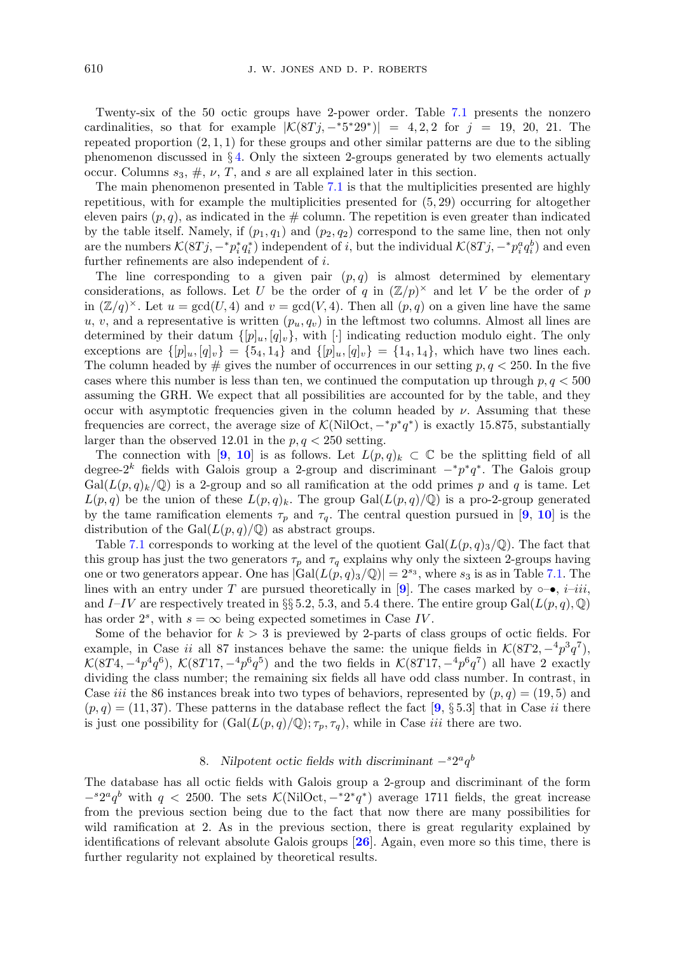Twenty-six of the 50 octic groups have 2-power order. Table [7.1](#page-14-0) presents the nonzero cardinalities, so that for example  $|\mathcal{K}(8Tj, -85*29*)| = 4, 2, 2$  for  $j = 19, 20, 21$ . The repeated proportion  $(2, 1, 1)$  for these groups and other similar patterns are due to the sibling phenomenon discussed in  $\S 4$ . Only the sixteen 2-groups generated by two elements actually occur. Columns  $s_3$ ,  $\#$ ,  $\nu$ ,  $T$ , and  $s$  are all explained later in this section.

The main phenomenon presented in Table [7.1](#page-14-0) is that the multiplicities presented are highly repetitious, with for example the multiplicities presented for (5, 29) occurring for altogether eleven pairs  $(p, q)$ , as indicated in the # column. The repetition is even greater than indicated by the table itself. Namely, if  $(p_1, q_1)$  and  $(p_2, q_2)$  correspond to the same line, then not only are the numbers  $\mathcal{K}(8Tj, -{}^{*}p_i^*q_i^*)$  independent of i, but the individual  $\mathcal{K}(8Tj, -{}^{*}p_i^aq_i^b)$  and even further refinements are also independent of i.

The line corresponding to a given pair  $(p, q)$  is almost determined by elementary considerations, as follows. Let U be the order of q in  $(\mathbb{Z}/p)^{\times}$  and let V be the order of p in  $(\mathbb{Z}/q)^{\times}$ . Let  $u = \gcd(U, 4)$  and  $v = \gcd(V, 4)$ . Then all  $(p, q)$  on a given line have the same u, v, and a representative is written  $(p_u, q_v)$  in the leftmost two columns. Almost all lines are determined by their datum  $\{[p]_u, [q]_v\}$ , with [·] indicating reduction modulo eight. The only exceptions are  $\{[p]_u, [q]_v\} = \{5_4, 1_4\}$  and  $\{[p]_u, [q]_v\} = \{1_4, 1_4\}$ , which have two lines each. The column headed by  $\#$  gives the number of occurrences in our setting  $p, q < 250$ . In the five cases where this number is less than ten, we continued the computation up through  $p, q < 500$ assuming the GRH. We expect that all possibilities are accounted for by the table, and they occur with asymptotic frequencies given in the column headed by  $\nu$ . Assuming that these frequencies are correct, the average size of  $\mathcal{K}(\text{NilOct}, -^*p^*q^*)$  is exactly 15.875, substantially larger than the observed 12.01 in the  $p, q < 250$  setting.

The connection with [[9](#page-22-4), [10](#page-22-5)] is as follows. Let  $L(p,q)_k \subset \mathbb{C}$  be the splitting field of all degree- $2^k$  fields with Galois group a 2-group and discriminant  $-\binom{*}{2}$ <sup>\*</sup>, The Galois group  $Gal(L(p,q)_k/\mathbb{Q})$  is a 2-group and so all ramification at the odd primes p and q is tame. Let  $L(p,q)$  be the union of these  $L(p,q)_k$ . The group Gal $(L(p,q)/\mathbb{Q})$  is a pro-2-group generated by the tame ramification elements  $\tau_p$  and  $\tau_q$ . The central question pursued in [[9](#page-22-4), [10](#page-22-5)] is the distribution of the Gal $(L(p,q)/\mathbb{Q})$  as abstract groups.

Table [7.1](#page-14-0) corresponds to working at the level of the quotient  $Gal(L(p,q)_3/\mathbb{Q})$ . The fact that this group has just the two generators  $\tau_p$  and  $\tau_q$  explains why only the sixteen 2-groups having one or two generators appear. One has  $|\widehat{Gal}(L(p,q)_3/\mathbb{Q})| = 2^{s_3}$ , where  $s_3$  is as in Table [7.1.](#page-14-0) The lines with an entry under T are pursued theoretically in  $[9]$  $[9]$  $[9]$ . The cases marked by  $\circ \rightarrow$ ,  $i$ -iii, and  $I$ –IV are respectively treated in §§ 5.2, 5.3, and 5.4 there. The entire group Gal( $L(p, q)$ ,  $\mathbb{Q}$ ) has order  $2^s$ , with  $s = \infty$  being expected sometimes in Case IV.

Some of the behavior for  $k > 3$  is previewed by 2-parts of class groups of octic fields. For example, in Case ii all 87 instances behave the same: the unique fields in  $\mathcal{K}(8T2, -4p^3q^7)$ ,  $\mathcal{K}(8T4, -^4p^4q^6)$ ,  $\mathcal{K}(8T17, -^4p^6q^5)$  and the two fields in  $\mathcal{K}(8T17, -^4p^6q^7)$  all have 2 exactly dividing the class number; the remaining six fields all have odd class number. In contrast, in Case *iii* the 86 instances break into two types of behaviors, represented by  $(p, q) = (19, 5)$  and  $(p, q) = (11, 37)$ . These patterns in the database reflect the fact  $[9, \S 5.3]$  $[9, \S 5.3]$  $[9, \S 5.3]$  that in Case ii there is just one possibility for  $(\text{Gal}(L(p,q)/\mathbb{Q}); \tau_p, \tau_q)$ , while in Case *iii* there are two.

# 8. Nilpotent octic fields with discriminant  $-{}^s2^aq^b$

<span id="page-15-0"></span>The database has all octic fields with Galois group a 2-group and discriminant of the form  $-{}^{s}2^{a}q^{b}$  with  $q < 2500$ . The sets K(NilOct,  $-{}^{*}2^{*}q^{*}$ ) average 1711 fields, the great increase from the previous section being due to the fact that now there are many possibilities for wild ramification at 2. As in the previous section, there is great regularity explained by identifications of relevant absolute Galois groups [[26](#page-22-6)]. Again, even more so this time, there is further regularity not explained by theoretical results.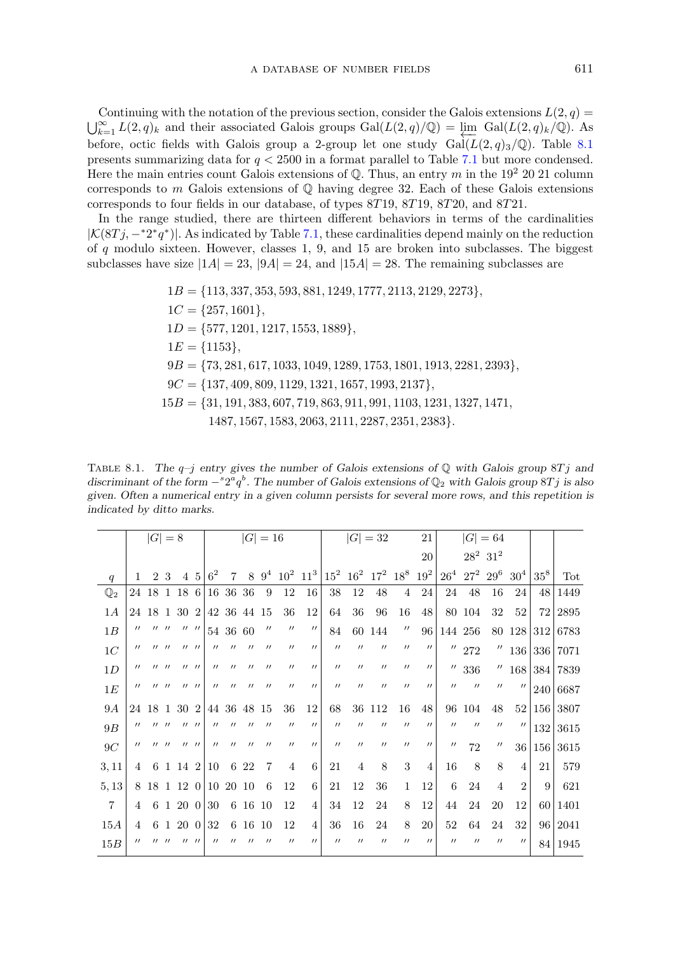Continuing with the notation of the previous section, consider the Galois extensions  $L(2, q)$  $\bigcup_{k=1}^{\infty} L(2,q)_k$  and their associated Galois groups  $Gal(L(2,q)/\mathbb{Q}) = \lim_{k \to \infty} Gal(L(2,q)_k/\mathbb{Q})$ . As before, octic fields with Galois group a 2-group let one study  $Gal(L(2,q)_3/\mathbb{Q})$ . Table [8.1](#page-16-0) presents summarizing data for  $q < 2500$  in a format parallel to Table [7.1](#page-14-0) but more condensed. Here the main entries count Galois extensions of  $\mathbb Q$ . Thus, an entry m in the 19<sup>2</sup> 20 21 column corresponds to m Galois extensions of  $\mathbb Q$  having degree 32. Each of these Galois extensions corresponds to four fields in our database, of types 8T19, 8T19, 8T20, and 8T21.

In the range studied, there are thirteen different behaviors in terms of the cardinalities  $|K(8Tj, -*2^*q^*)|$ . As indicated by Table [7.1,](#page-14-0) these cardinalities depend mainly on the reduction of  $q$  modulo sixteen. However, classes 1, 9, and 15 are broken into subclasses. The biggest subclasses have size  $|1A| = 23$ ,  $|9A| = 24$ , and  $|15A| = 28$ . The remaining subclasses are

> $1B = \{113, 337, 353, 593, 881, 1249, 1777, 2113, 2129, 2273\},\$  $1C = \{257, 1601\},\$  $1D = \{577, 1201, 1217, 1553, 1889\},\$  $1E = \{1153\},\,$  $9B = \{73, 281, 617, 1033, 1049, 1289, 1753, 1801, 1913, 2281, 2393\},\$  $9C = \{137, 409, 809, 1129, 1321, 1657, 1993, 2137\},\$  $15B = \{31, 191, 383, 607, 719, 863, 911, 991, 1103, 1231, 1327, 1471,$ 1487, 1567, 1583, 2063, 2111, 2287, 2351, 2383}.

<span id="page-16-0"></span>TABLE 8.1. The  $q-j$  entry gives the number of Galois extensions of Q with Galois group  $8Tj$  and discriminant of the form  $-{}^s2^a q^b$ . The number of Galois extensions of  $\mathbb{Q}_2$  with Galois group 8Tj is also given. Often a numerical entry in a given column persists for several more rows, and this repetition is indicated by ditto marks.

|                  | $ G  = 8$         |       |     |               | $ G  = 16$ |                   |                                  |                   |                   | 21<br>$ G  = 32$  |                      |                   | $ G  = 64$        |                                    |                   |                   |                   |                       |                   |                   |            |          |
|------------------|-------------------|-------|-----|---------------|------------|-------------------|----------------------------------|-------------------|-------------------|-------------------|----------------------|-------------------|-------------------|------------------------------------|-------------------|-------------------|-------------------|-----------------------|-------------------|-------------------|------------|----------|
|                  |                   |       |     |               |            |                   |                                  |                   |                   |                   |                      |                   |                   |                                    |                   | 20                |                   |                       | $28^2$ $31^2$     |                   |            |          |
| $\boldsymbol{q}$ | $\mathbf{1}$      |       | 2 3 |               | 4 5        | 6 <sup>2</sup>    | $\overline{7}$                   |                   |                   |                   | $8\ 9^4\ 10^2\ 11^3$ |                   |                   | $15^2$ $16^2$ $17^2$ $18^8$ $19^2$ |                   |                   |                   | $26^4$ $27^2$         | $29^{6}$          | 30 <sup>4</sup>   | $35^8$     | Tot      |
| $\mathbb{Q}_2$   |                   |       |     | 24 18 1 18 6  |            |                   | 16 36 36                         |                   | 9                 | 12                | 16                   | 38                | 12                | 48                                 | $\overline{4}$    | 24                | 24                | 48                    | 16                | 24                | 48         | 1449     |
| 1A               |                   |       |     | 24 18 1 30 2  |            |                   |                                  | 42 36 44 15       |                   | 36                | 12                   | 64                | 36                | 96                                 | 16                | 48                |                   | 80 104                | 32                | 52                | 72         | 2895     |
| 1B               | $^{\prime\prime}$ | 11 11 |     | $11$ $11$     |            |                   | $54\hphantom{1}36\hphantom{1}60$ |                   | $^{\prime\prime}$ | $^{\prime\prime}$ | $^{\prime\prime}$    | 84                |                   | 60 144                             | $^{\prime\prime}$ | 96                |                   | 144 256               |                   | 80 128            | 312        | 6783     |
| 1C               | $^{\prime\prime}$ | 11 11 |     | 11 11         |            | $^{\prime\prime}$ | $^{\prime\prime}$                | $^{\prime\prime}$ | $^{\prime\prime}$ | $^{\prime\prime}$ | $^{\prime\prime}$    | $^{\prime\prime}$ | $^{\prime\prime}$ | $^{\prime\prime}$                  | $\prime\prime$    | $^{\prime\prime}$ |                   | $''$ 272              |                   | $''$ 136          | 336        | 7071     |
| 1D               | $^{\prime\prime}$ | 11 11 |     | $11$ $11$     |            | $^{\prime\prime}$ | $^{\prime\prime}$                | $^{\prime\prime}$ | $^{\prime\prime}$ | $^{\prime\prime}$ | $^{\prime\prime}$    | $^{\prime\prime}$ | $^{\prime\prime}$ | $^{\prime\prime}$                  | $^{\prime\prime}$ | $^{\prime\prime}$ |                   | $^{\prime\prime}$ 336 |                   | $''$ 168          |            | 384 7839 |
| 1E               | $^{\prime\prime}$ | 11 11 |     | $\frac{1}{2}$ |            | $^{\prime\prime}$ | $^{\prime\prime}$                | $^{\prime\prime}$ | $^{\prime\prime}$ | $^{\prime\prime}$ | $^{\prime\prime}$    | $^{\prime\prime}$ | $^{\prime\prime}$ | $^{\prime\prime}$                  | $^{\prime\prime}$ | $^{\prime\prime}$ | $^{\prime\prime}$ | $^{\prime\prime}$     | $^{\prime\prime}$ | $^{\prime\prime}$ | 240        | 6687     |
| 9A               |                   |       |     | 24 18 1 30 2  |            |                   |                                  | 44 36 48 15       |                   | 36                | 12                   | 68                |                   | 36 112                             | 16                | 48                |                   | 96 104                | 48                | 52                | 156        | 3807     |
| 9B               | $^{\prime\prime}$ | 11 11 |     | $11$ $11$     |            | $^{\prime\prime}$ | $^{\prime\prime}$                | $^{\prime\prime}$ | $^{\prime\prime}$ | $^{\prime\prime}$ | $^{\prime\prime}$    | $^{\prime\prime}$ | $^{\prime\prime}$ | $^{\prime\prime}$                  | $^{\prime\prime}$ | $^{\prime\prime}$ | $^{\prime\prime}$ | $^{\prime\prime}$     | $^{\prime\prime}$ | $^{\prime\prime}$ | 132        | 3615     |
| 9C               | $^{\prime\prime}$ | 11 11 |     | $\frac{1}{2}$ |            | $^{\prime\prime}$ | $^{\prime\prime}$                | $^{\prime\prime}$ | $^{\prime\prime}$ | $^{\prime\prime}$ | $^{\prime\prime}$    | $^{\prime\prime}$ | $^{\prime\prime}$ | $^{\prime\prime}$                  | $^{\prime\prime}$ | $^{\prime\prime}$ | $^{\prime\prime}$ | 72                    | $^{\prime\prime}$ | 36                | <b>156</b> | 3615     |
| 3, 11            | $\overline{4}$    | 6     |     | 1 14 2        |            | 10                | 6                                | 22                | $\overline{7}$    | 4                 | 6                    | 21                | $\overline{4}$    | 8                                  | 3                 | $\overline{4}$    | 16                | 8                     | 8                 | $\overline{4}$    | 21         | 579      |
| 5, 13            |                   |       |     | 8 18 1 12 0   |            | 10                |                                  | 20 10             | 6                 | 12                | 6                    | 21                | 12                | 36                                 | $\mathbf{1}$      | 12                | 6                 | 24                    | $\overline{4}$    | $\overline{2}$    | 9          | 621      |
| $\overline{7}$   | 4                 |       |     | 6 1 20 0      |            | 30                |                                  | 6 16 10           |                   | 12                | $\overline{4}$       | 34                | 12                | 24                                 | 8                 | 12                | 44                | 24                    | 20                | 12                | 60 l       | 1401     |
| 15A              | 4                 | 6     |     | 1 20 0        |            | 32                |                                  | 6 16              | 10                | 12                | $\overline{4}$       | 36                | 16                | 24                                 | 8                 | 20                | 52                | 64                    | 24                | 32                | 96         | 2041     |
| 15B              | $^{\prime\prime}$ |       |     | 11 11         |            | $^{\prime\prime}$ |                                  |                   | $^{\prime\prime}$ | $^{\prime\prime}$ | $^{\prime\prime}$    | $^{\prime\prime}$ | $^{\prime\prime}$ | $^{\prime\prime}$                  | $^{\prime\prime}$ | $^{\prime\prime}$ | $^{\prime\prime}$ | $^{\prime\prime}$     | $^{\prime\prime}$ | $^{\prime\prime}$ | 84         | 1945     |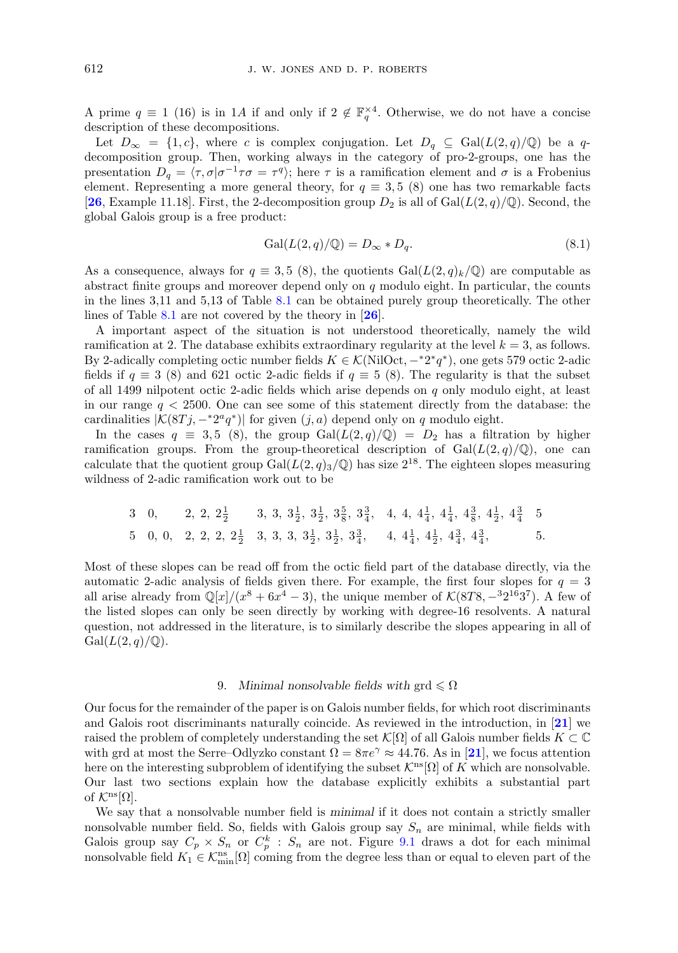A prime  $q \equiv 1$  (16) is in 1A if and only if  $2 \notin \mathbb{F}_q^{\times 4}$ . Otherwise, we do not have a concise description of these decompositions.

Let  $D_{\infty} = \{1, c\}$ , where c is complex conjugation. Let  $D_q \subseteq \text{Gal}(L(2,q)/\mathbb{Q})$  be a qdecomposition group. Then, working always in the category of pro-2-groups, one has the presentation  $D_q = \langle \tau, \sigma | \sigma^{-1} \tau \sigma = \tau^q \rangle$ ; here  $\tau$  is a ramification element and  $\sigma$  is a Frobenius element. Representing a more general theory, for  $q \equiv 3, 5$  (8) one has two remarkable facts [[26](#page-22-6), Example 11.18]. First, the 2-decomposition group  $D_2$  is all of  $Gal(L(2, q)/\mathbb{Q})$ . Second, the global Galois group is a free product:

$$
Gal(L(2,q)/\mathbb{Q}) = D_{\infty} * D_q.
$$
\n(8.1)

As a consequence, always for  $q \equiv 3.5$  (8), the quotients Gal( $L(2,q)_k/\mathbb{Q}$ ) are computable as abstract finite groups and moreover depend only on  $q$  modulo eight. In particular, the counts in the lines 3,11 and 5,13 of Table [8.1](#page-16-0) can be obtained purely group theoretically. The other lines of Table [8.1](#page-16-0) are not covered by the theory in [[26](#page-22-6)].

A important aspect of the situation is not understood theoretically, namely the wild ramification at 2. The database exhibits extraordinary regularity at the level  $k = 3$ , as follows. By 2-adically completing octic number fields  $K \in \mathcal{K}(\text{NilOct}, -^*2^*q^*)$ , one gets 579 octic 2-adic fields if  $q \equiv 3$  (8) and 621 octic 2-adic fields if  $q \equiv 5$  (8). The regularity is that the subset of all 1499 nilpotent octic 2-adic fields which arise depends on q only modulo eight, at least in our range  $q < 2500$ . One can see some of this statement directly from the database: the cardinalities  $|K(8Tj, -^*2^aq^*)|$  for given  $(j, a)$  depend only on q modulo eight.

In the cases  $q \equiv 3.5$  (8), the group Gal( $L(2, q)/\mathbb{Q}$ ) =  $D_2$  has a filtration by higher ramification groups. From the group-theoretical description of  $Gal(L(2, q)/\mathbb{Q})$ , one can calculate that the quotient group  $Gal(L(2,q)_3/\mathbb{Q})$  has size  $2^{18}$ . The eighteen slopes measuring wildness of 2-adic ramification work out to be

3 0, 2, 2, 
$$
2\frac{1}{2}
$$
 3, 3,  $3\frac{1}{2}$ ,  $3\frac{1}{8}$ ,  $3\frac{3}{4}$ , 4, 4,  $4\frac{1}{4}$ ,  $4\frac{1}{4}$ ,  $4\frac{3}{8}$ ,  $4\frac{1}{2}$ ,  $4\frac{3}{4}$  5  
5 0, 0, 2, 2, 2,  $2\frac{1}{2}$  3, 3, 3,  $3\frac{1}{2}$ ,  $3\frac{1}{2}$ ,  $3\frac{3}{4}$ , 4,  $4\frac{1}{4}$ ,  $4\frac{1}{2}$ ,  $4\frac{3}{4}$ ,  $4\frac{3}{4}$ ,  $4\frac{3}{4}$ ,  $4\frac{3}{4}$ ,

Most of these slopes can be read off from the octic field part of the database directly, via the automatic 2-adic analysis of fields given there. For example, the first four slopes for  $q = 3$ all arise already from  $\mathbb{Q}[x]/(x^8 + 6x^4 - 3)$ , the unique member of  $\mathcal{K}(8T8, -32^{16}3^7)$ . A few of the listed slopes can only be seen directly by working with degree-16 resolvents. A natural question, not addressed in the literature, is to similarly describe the slopes appearing in all of  $Gal(L(2,q)/\mathbb{Q}).$ 

### 9. Minimal nonsolvable fields with grd  $\leq \Omega$

<span id="page-17-0"></span>Our focus for the remainder of the paper is on Galois number fields, for which root discriminants and Galois root discriminants naturally coincide. As reviewed in the introduction, in [[21](#page-22-7)] we raised the problem of completely understanding the set  $\mathcal{K}[\Omega]$  of all Galois number fields  $K \subset \mathbb{C}$ with grd at most the Serre–Odlyzko constant  $\Omega = 8\pi e^{\gamma} \approx 44.76$ . As in [[21](#page-22-7)], we focus attention here on the interesting subproblem of identifying the subset  $\mathcal{K}^{\text{ns}}[\Omega]$  of K which are nonsolvable. Our last two sections explain how the database explicitly exhibits a substantial part of  $\mathcal{K}^{\text{ns}}[\Omega]$ .

We say that a nonsolvable number field is minimal if it does not contain a strictly smaller nonsolvable number field. So, fields with Galois group say  $S_n$  are minimal, while fields with Galois group say  $C_p \times S_n$  or  $C_p^k : S_n$  are not. Figure [9.1](#page-18-0) draws a dot for each minimal nonsolvable field  $K_1 \in \mathcal{K}_{\min}^{\text{ns}}[\Omega]$  coming from the degree less than or equal to eleven part of the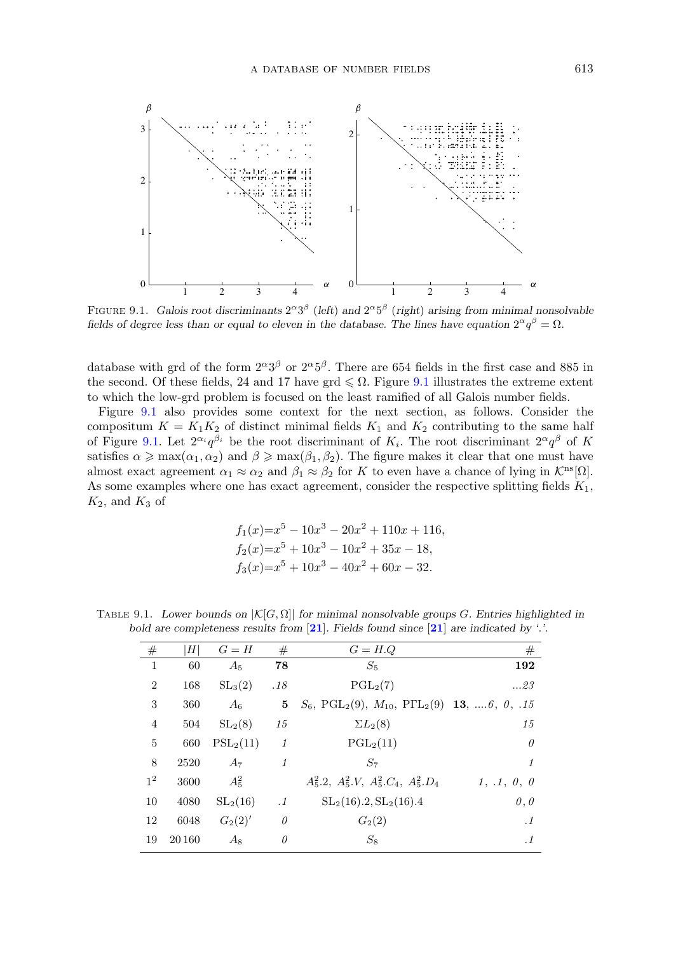

<span id="page-18-0"></span>FIGURE 9.1. Galois root discriminants  $2^{\alpha}3^{\beta}$  (left) and  $2^{\alpha}5^{\beta}$  (right) arising from minimal nonsolvable fields of degree less than or equal to eleven in the database. The lines have equation  $2^{\alpha}q^{\beta} = \Omega$ .

database with grd of the form  $2^{\alpha}3^{\beta}$  or  $2^{\alpha}5^{\beta}$ . There are 654 fields in the first case and 885 in the second. Of these fields, 24 and 17 have grd  $\leq \Omega$ . Figure [9.1](#page-18-0) illustrates the extreme extent to which the low-grd problem is focused on the least ramified of all Galois number fields.

Figure [9.1](#page-18-0) also provides some context for the next section, as follows. Consider the compositum  $K = K_1 K_2$  of distinct minimal fields  $K_1$  and  $K_2$  contributing to the same half of Figure [9.1.](#page-18-0) Let  $2^{\alpha_i}q^{\beta_i}$  be the root discriminant of  $K_i$ . The root discriminant  $2^{\alpha}q^{\beta}$  of K satisfies  $\alpha \ge \max(\alpha_1, \alpha_2)$  and  $\beta \ge \max(\beta_1, \beta_2)$ . The figure makes it clear that one must have almost exact agreement  $\alpha_1 \approx \alpha_2$  and  $\beta_1 \approx \beta_2$  for K to even have a chance of lying in  $\mathcal{K}^{\text{ns}}[\Omega]$ . As some examples where one has exact agreement, consider the respective splitting fields  $K_1$ ,  $K_2$ , and  $K_3$  of

$$
f_1(x)=x^5 - 10x^3 - 20x^2 + 110x + 116,
$$
  
\n
$$
f_2(x)=x^5 + 10x^3 - 10x^2 + 35x - 18,
$$
  
\n
$$
f_3(x)=x^5 + 10x^3 - 40x^2 + 60x - 32.
$$

TABLE 9.1. Lower bounds on  $|\mathcal{K}[G,\Omega]|$  for minimal nonsolvable groups G. Entries highlighted in bold are completeness results from [[21](#page-22-7)]. Fields found since [21] are indicated by '.'.

<span id="page-18-1"></span>

| #              | H     | $G=H$                | #              | $G=H.Q$                                                                             | #                   |
|----------------|-------|----------------------|----------------|-------------------------------------------------------------------------------------|---------------------|
| $\mathbf{1}$   | 60    | $A_5$                | 78             | $S_5$                                                                               | 192                 |
| $\overline{2}$ | 168   | $SL_3(2)$            | .18            | PGL <sub>2</sub> (7)                                                                | 23                  |
| 3              | 360   | $A_6$                | 5              | $S_6$ , PGL <sub>2</sub> (9), $M_{10}$ , PFL <sub>2</sub> (9) <b>13</b> , 6, 0, .15 |                     |
| $\overline{4}$ | 504   | SL <sub>2</sub> (8)  | 15             | $\Sigma L_2(8)$                                                                     | 15                  |
| 5              | 660   | $PSL_2(11)$          | $\overline{1}$ | PGL <sub>2</sub> (11)                                                               | 0                   |
| 8              | 2520  | $A_7$                | $\mathcal I$   | $S_7$                                                                               | 1                   |
| 1 <sup>2</sup> | 3600  | $A_5^2$              |                | $A_5^2.2, A_5^2. V, A_5^2. C_4, A_5^2. D_4$                                         | 1, .1, 0, 0         |
| 10             | 4080  | SL <sub>2</sub> (16) | $\cdot$ .1     | $SL_2(16).2, SL_2(16).4$                                                            | $\theta$ , $\theta$ |
| 12             | 6048  | $G_2(2)'$            | 0              | $G_2(2)$                                                                            | $\cdot$ 1           |
| 19             | 20160 | $A_8$                | 0              | $S_8$                                                                               | $\cdot$ 1           |
|                |       |                      |                |                                                                                     |                     |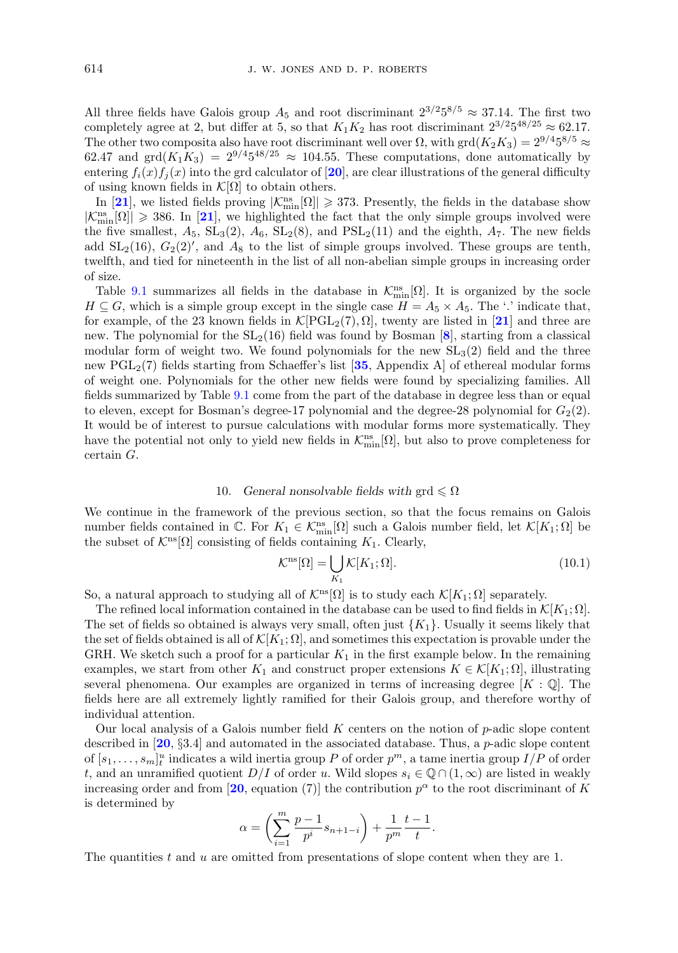All three fields have Galois group  $A_5$  and root discriminant  $2^{3/2}5^{8/5} \approx 37.14$ . The first two completely agree at 2, but differ at 5, so that  $K_1K_2$  has root discriminant  $2^{3/2}5^{48/25} \approx 62.17$ . The other two composita also have root discriminant well over  $\Omega$ , with  $\text{grd}(K_2K_3) = 2^{9/4}5^{8/5} \approx$ 62.47 and grd $(K_1K_3) = 2^{9/4}5^{48/25} \approx 104.55$ . These computations, done automatically by entering  $f_i(x) f_j(x)$  into the grd calculator of [[20](#page-22-13)], are clear illustrations of the general difficulty of using known fields in  $\mathcal{K}[\Omega]$  to obtain others.

In [[21](#page-22-7)], we listed fields proving  $|\mathcal{K}_{\min}^{\text{ns}}[\Omega]| \geq 373$ . Presently, the fields in the database show  $|\mathcal{K}_{\min}^{ns}[\Omega]| \geq 386$ . In [[21](#page-22-7)], we highlighted the fact that the only simple groups involved were the five smallest,  $A_5$ ,  $SL_3(2)$ ,  $A_6$ ,  $SL_2(8)$ , and  $PSL_2(11)$  and the eighth,  $A_7$ . The new fields add  $SL_2(16)$ ,  $G_2(2)$ ', and  $A_8$  to the list of simple groups involved. These groups are tenth, twelfth, and tied for nineteenth in the list of all non-abelian simple groups in increasing order of size.

Table [9.1](#page-18-1) summarizes all fields in the database in  $\mathcal{K}_{min}^{ns}[\Omega]$ . It is organized by the socle  $H \subseteq G$ , which is a simple group except in the single case  $H = A_5 \times A_5$ . The '.' indicate that, for example, of the 23 known fields in  $\mathcal{K}[PGL_2(7), \Omega]$ , twenty are listed in [[21](#page-22-7)] and three are new. The polynomial for the  $SL_2(16)$  field was found by Bosman [[8](#page-22-9)], starting from a classical modular form of weight two. We found polynomials for the new  $SL<sub>3</sub>(2)$  field and the three new PGL<sub>2</sub>(7) fields starting from Schaeffer's list [[35](#page-23-3), Appendix A] of ethereal modular forms of weight one. Polynomials for the other new fields were found by specializing families. All fields summarized by Table [9.1](#page-18-1) come from the part of the database in degree less than or equal to eleven, except for Bosman's degree-17 polynomial and the degree-28 polynomial for  $G_2(2)$ . It would be of interest to pursue calculations with modular forms more systematically. They have the potential not only to yield new fields in  $\mathcal{K}_{\min}^{\text{ns}}[\Omega]$ , but also to prove completeness for certain G.

### 10. General nonsolvable fields with grd  $\leq \Omega$

<span id="page-19-0"></span>We continue in the framework of the previous section, so that the focus remains on Galois number fields contained in  $\mathbb{C}$ . For  $K_1 \in \mathcal{K}_{min}^{ns}[\Omega]$  such a Galois number field, let  $\mathcal{K}[K_1;\Omega]$  be the subset of  $\mathcal{K}^{\text{ns}}[\Omega]$  consisting of fields containing  $K_1$ . Clearly,

$$
\mathcal{K}^{\rm ns}[\Omega] = \bigcup_{K_1} \mathcal{K}[K_1; \Omega]. \tag{10.1}
$$

So, a natural approach to studying all of  $\mathcal{K}^{\text{ns}}[\Omega]$  is to study each  $\mathcal{K}[K_1;\Omega]$  separately.

The refined local information contained in the database can be used to find fields in  $\mathcal{K}[K_1;\Omega]$ . The set of fields so obtained is always very small, often just  $\{K_1\}$ . Usually it seems likely that the set of fields obtained is all of  $\mathcal{K}[K_1;\Omega]$ , and sometimes this expectation is provable under the GRH. We sketch such a proof for a particular  $K_1$  in the first example below. In the remaining examples, we start from other  $K_1$  and construct proper extensions  $K \in \mathcal{K}[K_1;\Omega]$ , illustrating several phenomena. Our examples are organized in terms of increasing degree  $[K : \mathbb{Q}]$ . The fields here are all extremely lightly ramified for their Galois group, and therefore worthy of individual attention.

Our local analysis of a Galois number field  $K$  centers on the notion of  $p$ -adic slope content described in [[20](#page-22-13), §3.4] and automated in the associated database. Thus, a p-adic slope content of  $[s_1, \ldots, s_m]_t^u$  indicates a wild inertia group P of order  $p^m$ , a tame inertia group  $I/P$  of order t, and an unramified quotient  $D/I$  of order u. Wild slopes  $s_i \in \mathbb{Q} \cap (1,\infty)$  are listed in weakly increasing order and from [[20](#page-22-13), equation (7)] the contribution  $p^{\alpha}$  to the root discriminant of K is determined by

$$
\alpha=\biggl(\sum_{i=1}^m\frac{p-1}{p^i}s_{n+1-i}\biggr)+\frac{1}{p^m}\frac{t-1}{t}.
$$

The quantities  $t$  and  $u$  are omitted from presentations of slope content when they are 1.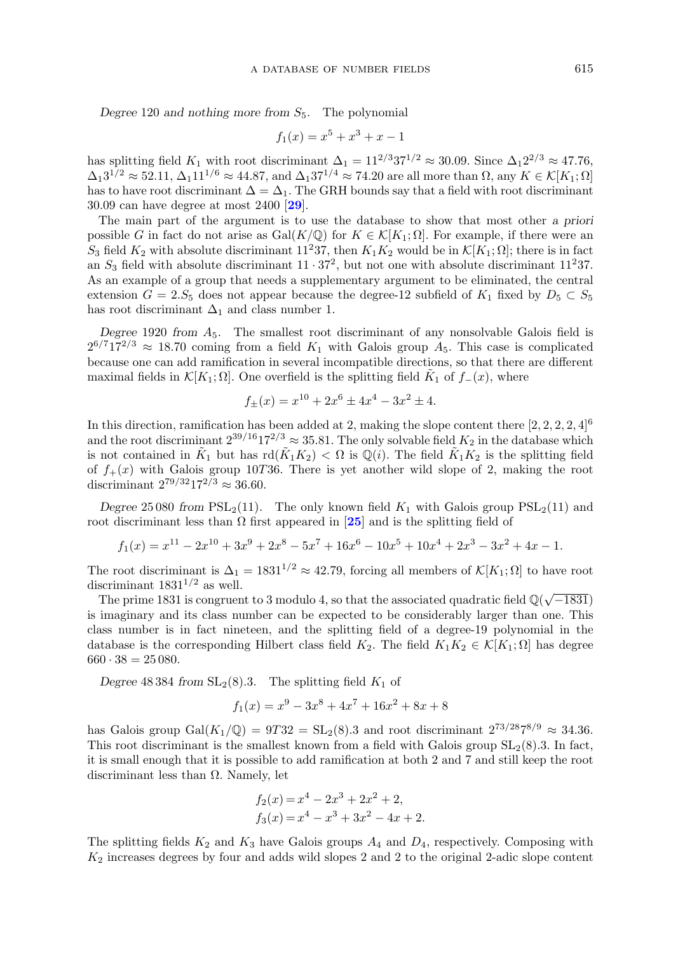Degree 120 and nothing more from  $S_5$ . The polynomial

$$
f_1(x) = x^5 + x^3 + x - 1
$$

has splitting field  $K_1$  with root discriminant  $\Delta_1 = 11^{2/3}37^{1/2} \approx 30.09$ . Since  $\Delta_1 = 2^{2/3} \approx 47.76$ ,  $\Delta_1 3^{1/2} \approx 52.11, \Delta_1 11^{1/6} \approx 44.87$ , and  $\Delta_1 37^{1/4} \approx 74.20$  are all more than  $\Omega$ , any  $K \in \mathcal{K}[K_1;\Omega]$ has to have root discriminant  $\Delta = \Delta_1$ . The GRH bounds say that a field with root discriminant 30.09 can have degree at most 2400 [[29](#page-22-8)].

The main part of the argument is to use the database to show that most other a priori possible G in fact do not arise as  $Gal(K/\mathbb{Q})$  for  $K \in \mathcal{K}[K_1;\Omega]$ . For example, if there were an  $S_3$  field  $K_2$  with absolute discriminant 11<sup>2</sup>37, then  $K_1K_2$  would be in  $\mathcal{K}[K_1;\Omega]$ ; there is in fact an  $S_3$  field with absolute discriminant  $11 \cdot 37^2$ , but not one with absolute discriminant  $11^237$ . As an example of a group that needs a supplementary argument to be eliminated, the central extension  $G = 2.S_5$  does not appear because the degree-12 subfield of  $K_1$  fixed by  $D_5 \subset S_5$ has root discriminant  $\Delta_1$  and class number 1.

Degree 1920 from  $A_5$ . The smallest root discriminant of any nonsolvable Galois field is  $2^{6/7}17^{2/3} \approx 18.70$  coming from a field  $K_1$  with Galois group  $A_5$ . This case is complicated because one can add ramification in several incompatible directions, so that there are different maximal fields in  $\mathcal{K}[K_1; \Omega]$ . One overfield is the splitting field  $\tilde{K}_1$  of  $f_-(x)$ , where

$$
f_{\pm}(x) = x^{10} + 2x^6 \pm 4x^4 - 3x^2 \pm 4.
$$

In this direction, ramification has been added at 2, making the slope content there  $[2, 2, 2, 2, 4]^{6}$ and the root discriminant  $2^{39/16}17^{2/3} \approx 35.81$ . The only solvable field  $K_2$  in the database which is not contained in  $\tilde{K}_1$  but has  $\text{rd}(\tilde{K}_1K_2) < \Omega$  is  $\mathbb{Q}(i)$ . The field  $\tilde{K}_1K_2$  is the splitting field of  $f_+(x)$  with Galois group 10T36. There is yet another wild slope of 2, making the root discriminant  $2^{79/32}17^{2/3} \approx 36.60$ .

Degree 25 080 from  $PSL_2(11)$ . The only known field  $K_1$  with Galois group  $PSL_2(11)$  and root discriminant less than  $\Omega$  first appeared in [[25](#page-22-2)] and is the splitting field of

$$
f_1(x) = x^{11} - 2x^{10} + 3x^9 + 2x^8 - 5x^7 + 16x^6 - 10x^5 + 10x^4 + 2x^3 - 3x^2 + 4x - 1.
$$

The root discriminant is  $\Delta_1 = 1831^{1/2} \approx 42.79$ , forcing all members of  $\mathcal{K}[K_1; \Omega]$  to have root discriminant  $1831^{1/2}$  as well.

Scrimmant 1831 / as wen.<br>The prime 1831 is congruent to 3 modulo 4, so that the associated quadratic field  $\mathbb{Q}(\sqrt{-1831})$ is imaginary and its class number can be expected to be considerably larger than one. This class number is in fact nineteen, and the splitting field of a degree-19 polynomial in the database is the corresponding Hilbert class field  $K_2$ . The field  $K_1K_2 \in \mathcal{K}[K_1;\Omega]$  has degree  $660 \cdot 38 = 25080.$ 

Degree 48 384 from  $SL_2(8)$ .3. The splitting field  $K_1$  of

$$
f_1(x) = x^9 - 3x^8 + 4x^7 + 16x^2 + 8x + 8
$$

has Galois group Gal $(K_1/\mathbb{Q}) = 9T32 = SL_2(8).3$  and root discriminant  $2^{73/28}7^{8/9} \approx 34.36$ . This root discriminant is the smallest known from a field with Galois group  $SL_2(8)$ .3. In fact, it is small enough that it is possible to add ramification at both 2 and 7 and still keep the root discriminant less than  $\Omega$ . Namely, let

$$
f_2(x) = x^4 - 2x^3 + 2x^2 + 2,
$$
  

$$
f_3(x) = x^4 - x^3 + 3x^2 - 4x + 2.
$$

The splitting fields  $K_2$  and  $K_3$  have Galois groups  $A_4$  and  $D_4$ , respectively. Composing with  $K_2$  increases degrees by four and adds wild slopes 2 and 2 to the original 2-adic slope content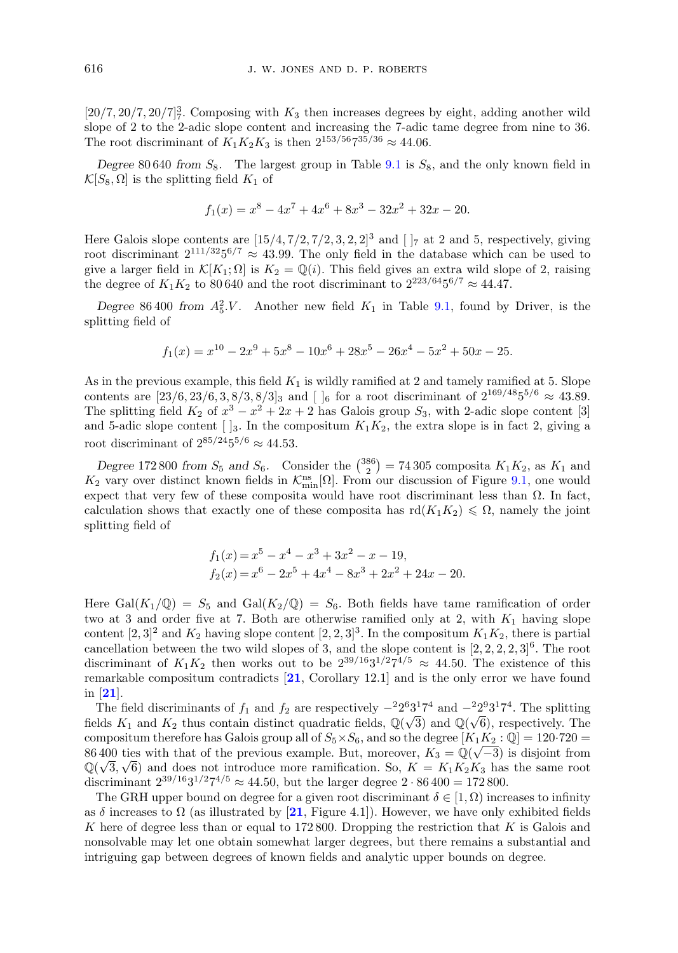$[20/7, 20/7, 20/7]^3$ . Composing with  $K_3$  then increases degrees by eight, adding another wild slope of 2 to the 2-adic slope content and increasing the 7-adic tame degree from nine to 36. The root discriminant of  $K_1K_2K_3$  is then  $2^{153/56}7^{35/36} \approx 44.06$ .

Degree 80 640 from  $S_8$ . The largest group in Table [9.1](#page-18-1) is  $S_8$ , and the only known field in  $\mathcal{K}[S_8,\Omega]$  is the splitting field  $K_1$  of

$$
f_1(x) = x^8 - 4x^7 + 4x^6 + 8x^3 - 32x^2 + 32x - 20.
$$

Here Galois slope contents are  $[15/4, 7/2, 7/2, 3, 2, 2]^3$  and  $[\ ]_7$  at 2 and 5, respectively, giving root discriminant  $2^{111/32}5^{6/7} \approx 43.99$ . The only field in the database which can be used to give a larger field in  $\mathcal{K}[K_1; \Omega]$  is  $K_2 = \mathbb{Q}(i)$ . This field gives an extra wild slope of 2, raising the degree of  $K_1K_2$  to 80640 and the root discriminant to  $2^{223/64}5^{6/7} \approx 44.47$ .

Degree 86400 from  $A_5^2$ .V. Another new field  $K_1$  in Table [9.1,](#page-18-1) found by Driver, is the splitting field of

$$
f_1(x) = x^{10} - 2x^9 + 5x^8 - 10x^6 + 28x^5 - 26x^4 - 5x^2 + 50x - 25.
$$

As in the previous example, this field  $K_1$  is wildly ramified at 2 and tamely ramified at 5. Slope contents are  $[23/6, 23/6, 3, 8/3, 8/3]_3$  and  $[$  |<sub>6</sub> for a root discriminant of  $2^{169/48}5^{5/6} \approx 43.89$ . The splitting field  $K_2$  of  $x^3 - x^2 + 2x + 2$  has Galois group  $S_3$ , with 2-adic slope content [3] and 5-adic slope content  $[\ ]_3$ . In the compositum  $K_1K_2$ , the extra slope is in fact 2, giving a root discriminant of  $2^{85/24}5^{5/6} \approx 44.53$ .

Degree 172 800 from  $S_5$  and  $S_6$ . Consider the  $\binom{386}{2} = 74\,305$  composita  $K_1K_2$ , as  $K_1$  and  $K_2$  vary over distinct known fields in  $\mathcal{K}_{\min}^{\text{ns}}[\Omega]$ . From our discussion of Figure [9.1,](#page-18-0) one would expect that very few of these composita would have root discriminant less than  $\Omega$ . In fact, calculation shows that exactly one of these composita has  $\text{rd}(K_1K_2) \leqslant \Omega$ , namely the joint splitting field of

$$
f_1(x) = x^5 - x^4 - x^3 + 3x^2 - x - 19,
$$
  
\n
$$
f_2(x) = x^6 - 2x^5 + 4x^4 - 8x^3 + 2x^2 + 24x - 20.
$$

Here Gal $(K_1/\mathbb{Q}) = S_5$  and Gal $(K_2/\mathbb{Q}) = S_6$ . Both fields have tame ramification of order two at 3 and order five at 7. Both are otherwise ramified only at 2, with  $K_1$  having slope content  $[2,3]^2$  and  $K_2$  having slope content  $[2,2,3]^3$ . In the compositum  $K_1K_2$ , there is partial cancellation between the two wild slopes of 3, and the slope content is  $[2, 2, 2, 2, 3]^6$ . The root discriminant of  $K_1K_2$  then works out to be  $2^{39/16}3^{1/2}7^{4/5} \approx 44.50$ . The existence of this remarkable compositum contradicts [[21](#page-22-7), Corollary 12.1] and is the only error we have found in [[21](#page-22-7)].

The field discriminants of  $f_1$  and  $f_2$  are respectively  $-\frac{22^63^{174}}{9}$  and  $-\frac{22^93^{174}}{9}$ . The splitting fields  $K_1$  and  $K_2$  thus contain distinct quadratic fields,  $\mathbb{Q}(\sqrt{3})$  and  $\mathbb{Q}(\sqrt{6})$ , respectively. The compositum therefore has Galois group all of  $S_5 \times S_6$ , and so the degree  $[K_1K_2:\mathbb{Q}] = 120.720 =$ 86 400 ties with that of the previous example. But, moreover,  $K_3 = \mathbb{Q}(\sqrt{-3})$  is disjoint from  $\mathbb{Q}(\sqrt{3}, \sqrt{6})$  and does not introduce more ramification. So,  $K = K_1K_2K_3$  has the same root discriminant  $2^{39/16}3^{1/2}7^{4/5} \approx 44.50$ , but the larger degree  $2 \cdot 86400 = 172800$ .

The GRH upper bound on degree for a given root discriminant  $\delta \in [1, \Omega)$  increases to infinity as  $\delta$  increases to  $\Omega$  (as illustrated by [[21](#page-22-7), Figure 4.1]). However, we have only exhibited fields K here of degree less than or equal to 172 800. Dropping the restriction that  $K$  is Galois and nonsolvable may let one obtain somewhat larger degrees, but there remains a substantial and intriguing gap between degrees of known fields and analytic upper bounds on degree.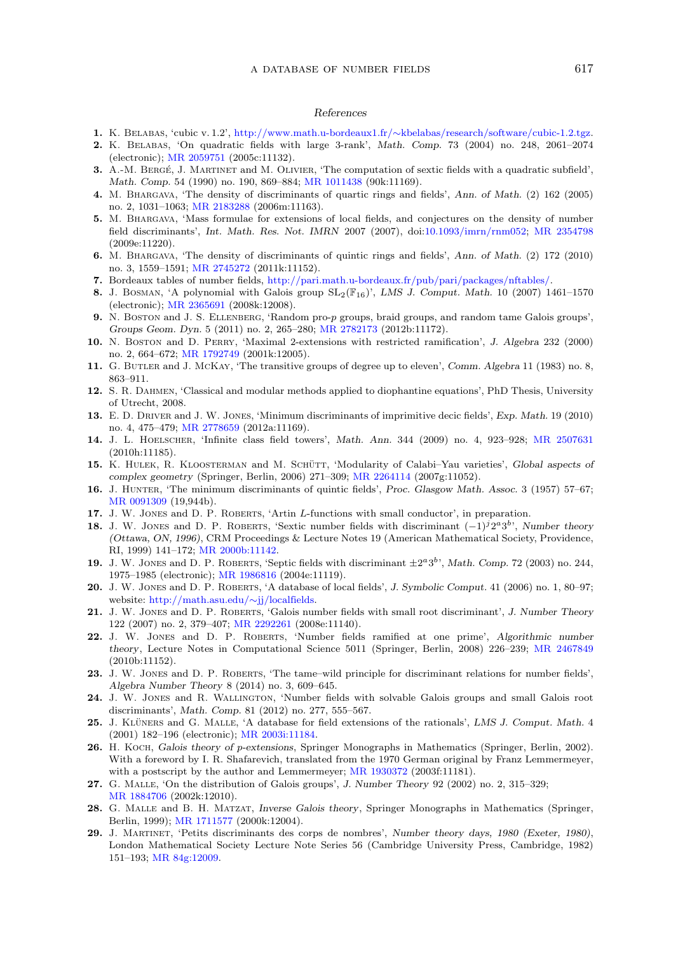#### References

- <span id="page-22-22"></span>1. K. Belabas, 'cubic v. 1.2', [http://www.math.u-bordeaux1.fr/](http://www.math.u-bordeaux1.fr/~kbelabas/research/software/cubic-1.2.tgz)[∼](http://www.math.u-bordeaux1.fr/~kbelabas/research/software/cubic-1.2.tgz)[kbelabas/research/software/cubic-1.2.tgz.](http://www.math.u-bordeaux1.fr/~kbelabas/research/software/cubic-1.2.tgz)
- <span id="page-22-23"></span>2. K. Belabas, 'On quadratic fields with large 3-rank', Math. Comp. 73 (2004) no. 248, 2061–2074 (electronic); [MR](http://www.ams.org/mathscinet-getitem?mr=2059751) [2059751](http://www.ams.org/mathscinet-getitem?mr=2059751) (2005c:11132).
- <span id="page-22-0"></span>3. A.-M. BERGÉ, J. MARTINET and M. OLIVIER, 'The computation of sextic fields with a quadratic subfield', Math. Comp. 54 (1990) no. 190, 869–884; [MR](http://www.ams.org/mathscinet-getitem?mr=1011438) [1011438](http://www.ams.org/mathscinet-getitem?mr=1011438) (90k:11169).
- <span id="page-22-26"></span>4. M. Bhargava, 'The density of discriminants of quartic rings and fields', Ann. of Math. (2) 162 (2005) no. 2, 1031–1063; [MR](http://www.ams.org/mathscinet-getitem?mr=2183288) [2183288](http://www.ams.org/mathscinet-getitem?mr=2183288) (2006m:11163).
- <span id="page-22-3"></span>5. M. Bhargava, 'Mass formulae for extensions of local fields, and conjectures on the density of number field discriminants', Int. Math. Res. Not. IMRN 2007 (2007), doi[:10.1093/imrn/rnm052;](http://dx.doi.org/10.1093/imrn/rnm052) [MR](http://www.ams.org/mathscinet-getitem?mr=2354798) [2354798](http://www.ams.org/mathscinet-getitem?mr=2354798) (2009e:11220).
- <span id="page-22-27"></span>6. M. Bhargava, 'The density of discriminants of quintic rings and fields', Ann. of Math. (2) 172 (2010) no. 3, 1559–1591; [MR](http://www.ams.org/mathscinet-getitem?mr=2745272) [2745272](http://www.ams.org/mathscinet-getitem?mr=2745272) (2011k:11152).
- <span id="page-22-19"></span>7. Bordeaux tables of number fields, [http://pari.math.u-bordeaux.fr/pub/pari/packages/nftables/.](http://pari.math.u-bordeaux.fr/pub/pari/packages/nftables/)
- <span id="page-22-9"></span>8. J. Bosman, 'A polynomial with Galois group  $SL_2(\mathbb{F}_{16})$ ', LMS J. Comput. Math. 10 (2007) 1461–1570 (electronic); [MR](http://www.ams.org/mathscinet-getitem?mr=2365691) [2365691](http://www.ams.org/mathscinet-getitem?mr=2365691) (2008k:12008).
- <span id="page-22-4"></span>9. N. Boston and J. S. Ellenberg, 'Random pro-p groups, braid groups, and random tame Galois groups', Groups Geom. Dyn. 5 (2011) no. 2, 265–280; [MR](http://www.ams.org/mathscinet-getitem?mr=2782173) [2782173](http://www.ams.org/mathscinet-getitem?mr=2782173) (2012b:11172).
- <span id="page-22-5"></span>10. N. Boston and D. Perry, 'Maximal 2-extensions with restricted ramification', J. Algebra 232 (2000) no. 2, 664–672; [MR](http://www.ams.org/mathscinet-getitem?mr=1792749) [1792749](http://www.ams.org/mathscinet-getitem?mr=1792749) (2001k:12005).
- <span id="page-22-14"></span>11. G. Butler and J. McKay, 'The transitive groups of degree up to eleven', Comm. Algebra 11 (1983) no. 8, 863–911.
- <span id="page-22-11"></span>12. S. R. Dahmen, 'Classical and modular methods applied to diophantine equations', PhD Thesis, University of Utrecht, 2008.
- <span id="page-22-20"></span>13. E. D. Driver and J. W. Jones, 'Minimum discriminants of imprimitive decic fields', Exp. Math. 19 (2010) no. 4, 475–479; [MR](http://www.ams.org/mathscinet-getitem?mr=2778659) [2778659](http://www.ams.org/mathscinet-getitem?mr=2778659) (2012a:11169).
- <span id="page-22-16"></span>14. J. L. Hoelscher, 'Infinite class field towers', Math. Ann. 344 (2009) no. 4, 923–928; [MR](http://www.ams.org/mathscinet-getitem?mr=2507631) [2507631](http://www.ams.org/mathscinet-getitem?mr=2507631) (2010h:11185).
- <span id="page-22-12"></span>15. K. HULEK, R. KLOOSTERMAN and M. SCHÜTT, 'Modularity of Calabi–Yau varieties', Global aspects of complex geometry (Springer, Berlin, 2006) 271–309; [MR](http://www.ams.org/mathscinet-getitem?mr=2264114) [2264114](http://www.ams.org/mathscinet-getitem?mr=2264114) (2007g:11052).
- <span id="page-22-1"></span>16. J. Hunter, 'The minimum discriminants of quintic fields', Proc. Glasgow Math. Assoc. 3 (1957) 57–67; [MR](http://www.ams.org/mathscinet-getitem?mr=0091309) [0091309](http://www.ams.org/mathscinet-getitem?mr=0091309) (19,944b).
- <span id="page-22-17"></span>17. J. W. JONES and D. P. ROBERTS, 'Artin L-functions with small conductor', in preparation.
- <span id="page-22-10"></span>18. J. W. JONES and D. P. ROBERTS, 'Sextic number fields with discriminant  $(-1)^{j}2^{a}3^{b}$ , Number theory (Ottawa, ON, 1996), CRM Proceedings & Lecture Notes 19 (American Mathematical Society, Providence, RI, 1999) 141–172; [MR](http://www.ams.org/mathscinet-getitem?mr=2000b:11142) [2000b:11142.](http://www.ams.org/mathscinet-getitem?mr=2000b:11142)
- <span id="page-22-24"></span>19. J. W. JONES and D. P. ROBERTS, 'Septic fields with discriminant  $\pm 2^a 3^b$ ', Math. Comp. 72 (2003) no. 244, 1975–1985 (electronic); [MR](http://www.ams.org/mathscinet-getitem?mr=1986816) [1986816](http://www.ams.org/mathscinet-getitem?mr=1986816) (2004e:11119).
- <span id="page-22-13"></span>20. J. W. Jones and D. P. Roberts, 'A database of local fields', J. Symbolic Comput. 41 (2006) no. 1, 80–97; website: [http://math.asu.edu/](http://math.asu.edu/~jj/localfields)[∼](http://math.asu.edu/~jj/localfields)[jj/localfields.](http://math.asu.edu/~jj/localfields)
- <span id="page-22-7"></span>21. J. W. JONES and D. P. ROBERTS, 'Galois number fields with small root discriminant', J. Number Theory 122 (2007) no. 2, 379–407; [MR](http://www.ams.org/mathscinet-getitem?mr=2292261) [2292261](http://www.ams.org/mathscinet-getitem?mr=2292261) (2008e:11140).
- <span id="page-22-28"></span>22. J. W. JONES and D. P. ROBERTS, 'Number fields ramified at one prime', Algorithmic number theory, Lecture Notes in Computational Science 5011 (Springer, Berlin, 2008) 226–239; [MR](http://www.ams.org/mathscinet-getitem?mr=2467849) [2467849](http://www.ams.org/mathscinet-getitem?mr=2467849) (2010b:11152).
- <span id="page-22-15"></span>23. J. W. JONES and D. P. ROBERTS, 'The tame–wild principle for discriminant relations for number fields', Algebra Number Theory 8 (2014) no. 3, 609–645.
- <span id="page-22-21"></span>24. J. W. Jones and R. Wallington, 'Number fields with solvable Galois groups and small Galois root discriminants', Math. Comp. 81 (2012) no. 277, 555–567.
- <span id="page-22-2"></span>25. J. KLUNERS and G. MALLE, 'A database for field extensions of the rationals', LMS J. Comput. Math. 4 (2001) 182–196 (electronic); [MR](http://www.ams.org/mathscinet-getitem?mr=2003i:11184) [2003i:11184.](http://www.ams.org/mathscinet-getitem?mr=2003i:11184)
- <span id="page-22-6"></span>26. H. Koch, Galois theory of p-extensions, Springer Monographs in Mathematics (Springer, Berlin, 2002). With a foreword by I. R. Shafarevich, translated from the 1970 German original by Franz Lemmermeyer, with a postscript by the author and Lemmermeyer; [MR](http://www.ams.org/mathscinet-getitem?mr=1930372) [1930372](http://www.ams.org/mathscinet-getitem?mr=1930372) (2003f:11181).
- <span id="page-22-25"></span>27. G. Malle, 'On the distribution of Galois groups', J. Number Theory 92 (2002) no. 2, 315–329; [MR](http://www.ams.org/mathscinet-getitem?mr=1884706) [1884706](http://www.ams.org/mathscinet-getitem?mr=1884706) (2002k:12010).
- <span id="page-22-18"></span>28. G. Malle and B. H. Matzat, Inverse Galois theory, Springer Monographs in Mathematics (Springer, Berlin, 1999); [MR](http://www.ams.org/mathscinet-getitem?mr=1711577) [1711577](http://www.ams.org/mathscinet-getitem?mr=1711577) (2000k:12004).
- <span id="page-22-8"></span>29. J. Martinet, 'Petits discriminants des corps de nombres', Number theory days, 1980 (Exeter, 1980), London Mathematical Society Lecture Note Series 56 (Cambridge University Press, Cambridge, 1982) 151–193; [MR](http://www.ams.org/mathscinet-getitem?mr=84g:12009) [84g:12009.](http://www.ams.org/mathscinet-getitem?mr=84g:12009)